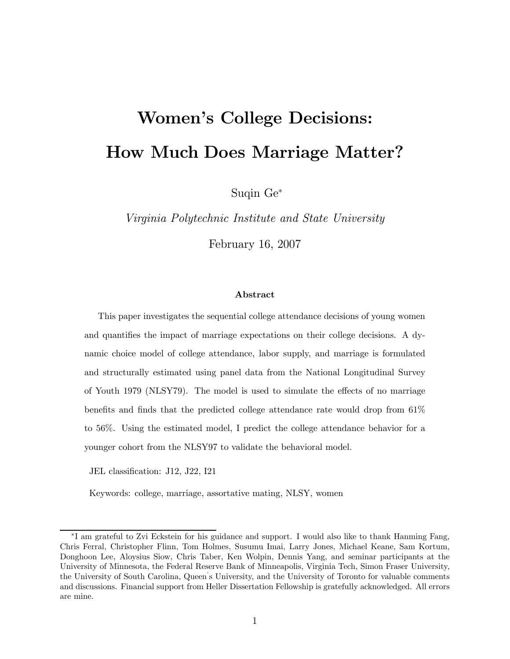# Women's College Decisions: How Much Does Marriage Matter?

Suqin Ge<sup>∗</sup>

Virginia Polytechnic Institute and State University

February 16, 2007

#### Abstract

This paper investigates the sequential college attendance decisions of young women and quantifies the impact of marriage expectations on their college decisions. A dynamic choice model of college attendance, labor supply, and marriage is formulated and structurally estimated using panel data from the National Longitudinal Survey of Youth 1979 (NLSY79). The model is used to simulate the effects of no marriage benefits and finds that the predicted college attendance rate would drop from 61% to 56%. Using the estimated model, I predict the college attendance behavior for a younger cohort from the NLSY97 to validate the behavioral model.

JEL classification: J12, J22, I21

Keywords: college, marriage, assortative mating, NLSY, women

<sup>∗</sup>I am grateful to Zvi Eckstein for his guidance and support. I would also like to thank Hanming Fang, Chris Ferral, Christopher Flinn, Tom Holmes, Susumu Imai, Larry Jones, Michael Keane, Sam Kortum, Donghoon Lee, Aloysius Siow, Chris Taber, Ken Wolpin, Dennis Yang, and seminar participants at the University of Minnesota, the Federal Reserve Bank of Minneapolis, Virginia Tech, Simon Fraser University, the University of South Carolina, Queen' s University, and the University of Toronto for valuable comments and discussions. Financial support from Heller Dissertation Fellowship is gratefully acknowledged. All errors are mine.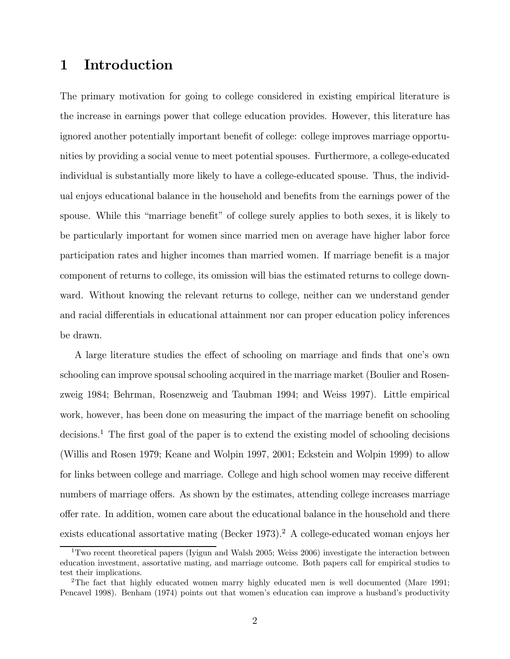### 1 Introduction

The primary motivation for going to college considered in existing empirical literature is the increase in earnings power that college education provides. However, this literature has ignored another potentially important benefit of college: college improves marriage opportunities by providing a social venue to meet potential spouses. Furthermore, a college-educated individual is substantially more likely to have a college-educated spouse. Thus, the individual enjoys educational balance in the household and benefits from the earnings power of the spouse. While this "marriage benefit" of college surely applies to both sexes, it is likely to be particularly important for women since married men on average have higher labor force participation rates and higher incomes than married women. If marriage benefit is a major component of returns to college, its omission will bias the estimated returns to college downward. Without knowing the relevant returns to college, neither can we understand gender and racial differentials in educational attainment nor can proper education policy inferences be drawn.

A large literature studies the effect of schooling on marriage and finds that one's own schooling can improve spousal schooling acquired in the marriage market (Boulier and Rosenzweig 1984; Behrman, Rosenzweig and Taubman 1994; and Weiss 1997). Little empirical work, however, has been done on measuring the impact of the marriage benefit on schooling decisions.<sup>1</sup> The first goal of the paper is to extend the existing model of schooling decisions (Willis and Rosen 1979; Keane and Wolpin 1997, 2001; Eckstein and Wolpin 1999) to allow for links between college and marriage. College and high school women may receive different numbers of marriage offers. As shown by the estimates, attending college increases marriage offer rate. In addition, women care about the educational balance in the household and there exists educational assortative mating (Becker 1973).<sup>2</sup> A college-educated woman enjoys her

<sup>&</sup>lt;sup>1</sup>Two recent theoretical papers (Iyigun and Walsh 2005; Weiss 2006) investigate the interaction between education investment, assortative mating, and marriage outcome. Both papers call for empirical studies to test their implications.

<sup>2</sup>The fact that highly educated women marry highly educated men is well documented (Mare 1991; Pencavel 1998). Benham (1974) points out that women's education can improve a husband's productivity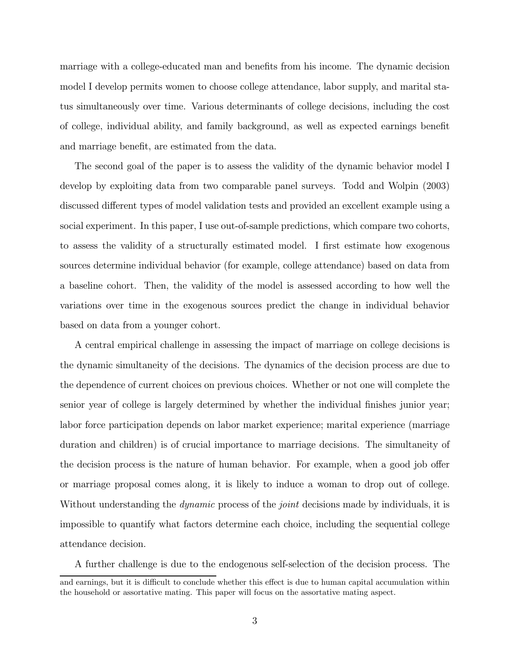marriage with a college-educated man and benefits from his income. The dynamic decision model I develop permits women to choose college attendance, labor supply, and marital status simultaneously over time. Various determinants of college decisions, including the cost of college, individual ability, and family background, as well as expected earnings benefit and marriage benefit, are estimated from the data.

The second goal of the paper is to assess the validity of the dynamic behavior model I develop by exploiting data from two comparable panel surveys. Todd and Wolpin (2003) discussed different types of model validation tests and provided an excellent example using a social experiment. In this paper, I use out-of-sample predictions, which compare two cohorts, to assess the validity of a structurally estimated model. I first estimate how exogenous sources determine individual behavior (for example, college attendance) based on data from a baseline cohort. Then, the validity of the model is assessed according to how well the variations over time in the exogenous sources predict the change in individual behavior based on data from a younger cohort.

A central empirical challenge in assessing the impact of marriage on college decisions is the dynamic simultaneity of the decisions. The dynamics of the decision process are due to the dependence of current choices on previous choices. Whether or not one will complete the senior year of college is largely determined by whether the individual finishes junior year; labor force participation depends on labor market experience; marital experience (marriage duration and children) is of crucial importance to marriage decisions. The simultaneity of the decision process is the nature of human behavior. For example, when a good job offer or marriage proposal comes along, it is likely to induce a woman to drop out of college. Without understanding the *dynamic* process of the *joint* decisions made by individuals, it is impossible to quantify what factors determine each choice, including the sequential college attendance decision.

A further challenge is due to the endogenous self-selection of the decision process. The

and earnings, but it is difficult to conclude whether this effect is due to human capital accumulation within the household or assortative mating. This paper will focus on the assortative mating aspect.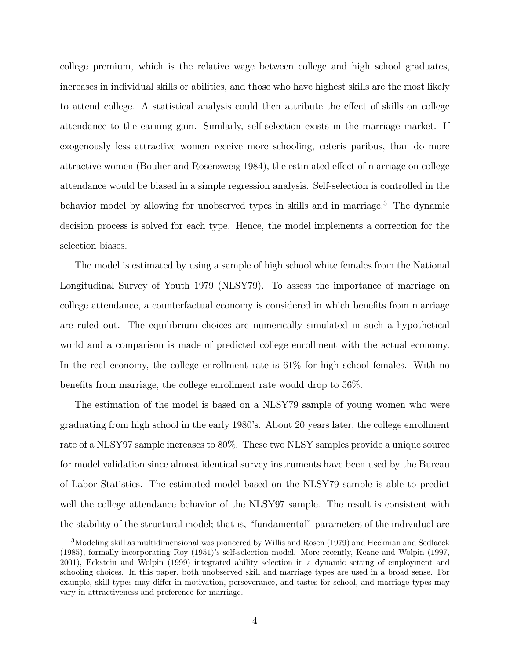college premium, which is the relative wage between college and high school graduates, increases in individual skills or abilities, and those who have highest skills are the most likely to attend college. A statistical analysis could then attribute the effect of skills on college attendance to the earning gain. Similarly, self-selection exists in the marriage market. If exogenously less attractive women receive more schooling, ceteris paribus, than do more attractive women (Boulier and Rosenzweig 1984), the estimated effect of marriage on college attendance would be biased in a simple regression analysis. Self-selection is controlled in the behavior model by allowing for unobserved types in skills and in marriage.<sup>3</sup> The dynamic decision process is solved for each type. Hence, the model implements a correction for the selection biases.

The model is estimated by using a sample of high school white females from the National Longitudinal Survey of Youth 1979 (NLSY79). To assess the importance of marriage on college attendance, a counterfactual economy is considered in which benefits from marriage are ruled out. The equilibrium choices are numerically simulated in such a hypothetical world and a comparison is made of predicted college enrollment with the actual economy. In the real economy, the college enrollment rate is 61% for high school females. With no benefits from marriage, the college enrollment rate would drop to 56%.

The estimation of the model is based on a NLSY79 sample of young women who were graduating from high school in the early 1980's. About 20 years later, the college enrollment rate of a NLSY97 sample increases to 80%. These two NLSY samples provide a unique source for model validation since almost identical survey instruments have been used by the Bureau of Labor Statistics. The estimated model based on the NLSY79 sample is able to predict well the college attendance behavior of the NLSY97 sample. The result is consistent with the stability of the structural model; that is, "fundamental" parameters of the individual are

<sup>&</sup>lt;sup>3</sup>Modeling skill as multidimensional was pioneered by Willis and Rosen (1979) and Heckman and Sedlacek (1985), formally incorporating Roy (1951)'s self-selection model. More recently, Keane and Wolpin (1997, 2001), Eckstein and Wolpin (1999) integrated ability selection in a dynamic setting of employment and schooling choices. In this paper, both unobserved skill and marriage types are used in a broad sense. For example, skill types may differ in motivation, perseverance, and tastes for school, and marriage types may vary in attractiveness and preference for marriage.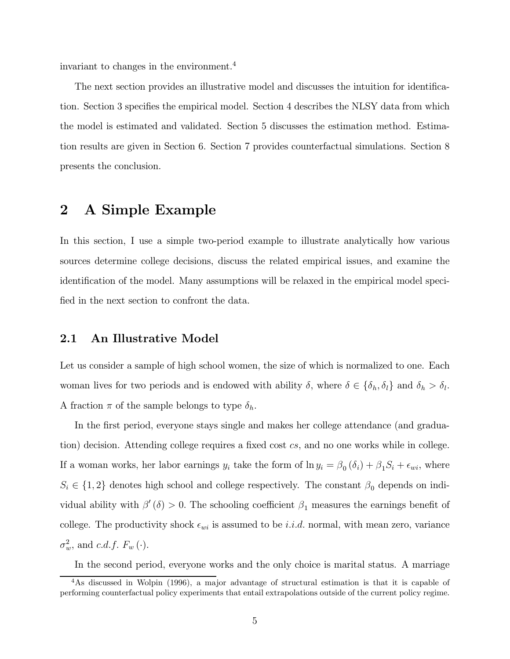invariant to changes in the environment.<sup>4</sup>

The next section provides an illustrative model and discusses the intuition for identification. Section 3 specifies the empirical model. Section 4 describes the NLSY data from which the model is estimated and validated. Section 5 discusses the estimation method. Estimation results are given in Section 6. Section 7 provides counterfactual simulations. Section 8 presents the conclusion.

### 2 A Simple Example

In this section, I use a simple two-period example to illustrate analytically how various sources determine college decisions, discuss the related empirical issues, and examine the identification of the model. Many assumptions will be relaxed in the empirical model specified in the next section to confront the data.

#### 2.1 An Illustrative Model

Let us consider a sample of high school women, the size of which is normalized to one. Each woman lives for two periods and is endowed with ability  $\delta$ , where  $\delta \in {\delta_h, \delta_l}$  and  $\delta_h > \delta_l$ . A fraction  $\pi$  of the sample belongs to type  $\delta_h$ .

In the first period, everyone stays single and makes her college attendance (and graduation) decision. Attending college requires a fixed cost cs, and no one works while in college. If a woman works, her labor earnings  $y_i$  take the form of  $\ln y_i = \beta_0 (\delta_i) + \beta_1 S_i + \epsilon_{wi}$ , where  $S_i \in \{1,2\}$  denotes high school and college respectively. The constant  $\beta_0$  depends on individual ability with  $\beta'(\delta) > 0$ . The schooling coefficient  $\beta_1$  measures the earnings benefit of college. The productivity shock  $\epsilon_{wi}$  is assumed to be *i.i.d.* normal, with mean zero, variance  $\sigma_w^2$ , and c.d.f.  $F_w(\cdot)$ .

In the second period, everyone works and the only choice is marital status. A marriage

<sup>&</sup>lt;sup>4</sup>As discussed in Wolpin (1996), a major advantage of structural estimation is that it is capable of performing counterfactual policy experiments that entail extrapolations outside of the current policy regime.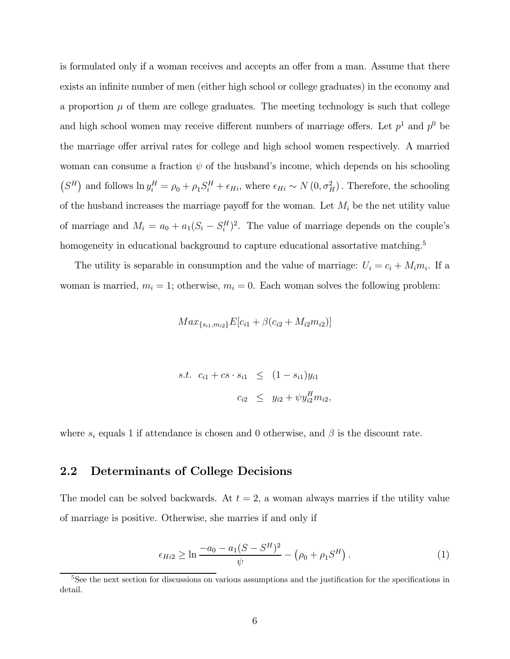is formulated only if a woman receives and accepts an offer from a man. Assume that there exists an infinite number of men (either high school or college graduates) in the economy and a proportion  $\mu$  of them are college graduates. The meeting technology is such that college and high school women may receive different numbers of marriage offers. Let  $p<sup>1</sup>$  and  $p<sup>0</sup>$  be the marriage offer arrival rates for college and high school women respectively. A married woman can consume a fraction  $\psi$  of the husband's income, which depends on his schooling  $(S^H)$  and follows  $\ln y_i^H = \rho_0 + \rho_1 S_i^H + \epsilon_{Hi}$ , where  $\epsilon_{Hi} \sim N(0, \sigma_H^2)$ . Therefore, the schooling of the husband increases the marriage payoff for the woman. Let  $M_i$  be the net utility value of marriage and  $M_i = a_0 + a_1(S_i - S_i^H)^2$ . The value of marriage depends on the couple's homogeneity in educational background to capture educational assortative matching.<sup>5</sup>

The utility is separable in consumption and the value of marriage:  $U_i = c_i + M_i m_i$ . If a woman is married,  $m_i = 1$ ; otherwise,  $m_i = 0$ . Each woman solves the following problem:

$$
Max_{\{s_{i1}, m_{i2}\}} E[c_{i1} + \beta(c_{i2} + M_{i2}m_{i2})]
$$

s.t. 
$$
c_{i1} + cs \cdot s_{i1} \leq (1 - s_{i1})y_{i1}
$$
  
 $c_{i2} \leq y_{i2} + \psi y_{i2}^H m_{i2},$ 

where  $s_i$  equals 1 if attendance is chosen and 0 otherwise, and  $\beta$  is the discount rate.

### 2.2 Determinants of College Decisions

The model can be solved backwards. At  $t = 2$ , a woman always marries if the utility value of marriage is positive. Otherwise, she marries if and only if

$$
\epsilon_{Hi2} \ge \ln \frac{-a_0 - a_1 (S - S^H)^2}{\psi} - (\rho_0 + \rho_1 S^H). \tag{1}
$$

<sup>&</sup>lt;sup>5</sup>See the next section for discussions on various assumptions and the justification for the specifications in detail.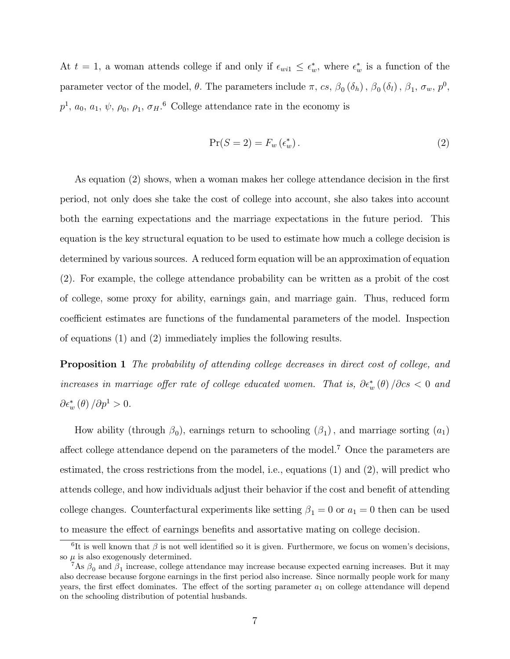At  $t = 1$ , a woman attends college if and only if  $\epsilon_{wi1} \leq \epsilon_w^*$ , where  $\epsilon_w^*$  is a function of the parameter vector of the model,  $\theta$ . The parameters include  $\pi$ ,  $cs$ ,  $\beta_0$  ( $\delta_h$ ),  $\beta_0$  ( $\delta_l$ ),  $\beta_1$ ,  $\sigma_w$ ,  $p^0$ ,  $p^1, a_0, a_1, \psi, \rho_0, \rho_1, \sigma_H.$ <sup>6</sup> College attendance rate in the economy is

$$
\Pr(S=2) = F_w(\epsilon_w^*). \tag{2}
$$

As equation (2) shows, when a woman makes her college attendance decision in the first period, not only does she take the cost of college into account, she also takes into account both the earning expectations and the marriage expectations in the future period. This equation is the key structural equation to be used to estimate how much a college decision is determined by various sources. A reduced form equation will be an approximation of equation (2). For example, the college attendance probability can be written as a probit of the cost of college, some proxy for ability, earnings gain, and marriage gain. Thus, reduced form coefficient estimates are functions of the fundamental parameters of the model. Inspection of equations (1) and (2) immediately implies the following results.

Proposition 1 The probability of attending college decreases in direct cost of college, and increases in marriage offer rate of college educated women. That is,  $\partial \epsilon_w^*(\theta) / \partial \cos \theta$  and  $\partial \epsilon_w^* \left( \theta \right) / \partial p^1 > 0.$ 

How ability (through  $\beta_0$ ), earnings return to schooling  $(\beta_1)$ , and marriage sorting  $(a_1)$ affect college attendance depend on the parameters of the model.<sup>7</sup> Once the parameters are estimated, the cross restrictions from the model, i.e., equations (1) and (2), will predict who attends college, and how individuals adjust their behavior if the cost and benefit of attending college changes. Counterfactural experiments like setting  $\beta_1 = 0$  or  $a_1 = 0$  then can be used to measure the effect of earnings benefits and assortative mating on college decision.

<sup>&</sup>lt;sup>6</sup>It is well known that  $\beta$  is not well identified so it is given. Furthermore, we focus on women's decisions, so  $\mu$  is also exogenously determined.

<sup>&</sup>lt;sup>7</sup>As  $\beta_0$  and  $\beta_1$  increase, college attendance may increase because expected earning increases. But it may also decrease because forgone earnings in the first period also increase. Since normally people work for many years, the first effect dominates. The effect of the sorting parameter  $a_1$  on college attendance will depend on the schooling distribution of potential husbands.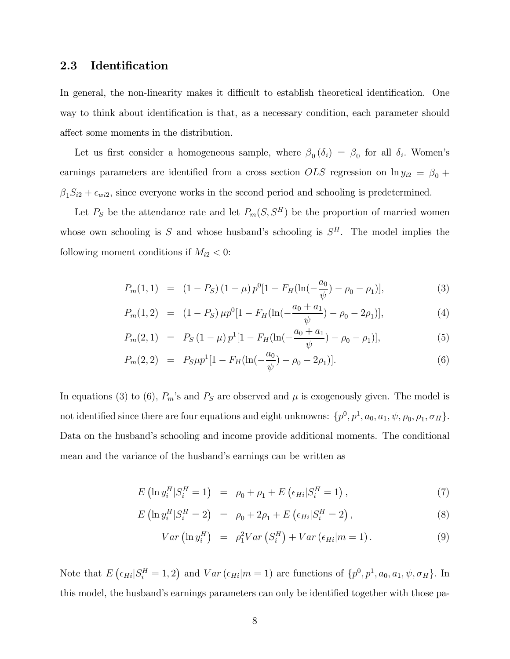### 2.3 Identification

In general, the non-linearity makes it difficult to establish theoretical identification. One way to think about identification is that, as a necessary condition, each parameter should affect some moments in the distribution.

Let us first consider a homogeneous sample, where  $\beta_0(\delta_i) = \beta_0$  for all  $\delta_i$ . Women's earnings parameters are identified from a cross section  $OLS$  regression on  $\ln y_{i2} = \beta_0 + \beta_1$  $\beta_1 S_{i2} + \epsilon_{wi2}$ , since everyone works in the second period and schooling is predetermined.

Let  $P_S$  be the attendance rate and let  $P_m(S, S^H)$  be the proportion of married women whose own schooling is S and whose husband's schooling is  $S<sup>H</sup>$ . The model implies the following moment conditions if  $M_{i2} < 0$ :

$$
P_m(1,1) = (1 - P_S)(1 - \mu) p^0 [1 - F_H(\ln(-\frac{a_0}{\psi}) - \rho_0 - \rho_1)], \qquad (3)
$$

$$
P_m(1,2) = (1 - P_S) \mu p^0 [1 - F_H(\ln(-\frac{a_0 + a_1}{\psi}) - \rho_0 - 2\rho_1)], \qquad (4)
$$

$$
P_m(2,1) = P_S(1-\mu)p^1[1 - F_H(\ln(-\frac{a_0+a_1}{\psi}) - \rho_0 - \rho_1)], \qquad (5)
$$

$$
P_m(2,2) = P_S \mu p^1 [1 - F_H(\ln(-\frac{a_0}{\psi}) - \rho_0 - 2\rho_1)]. \tag{6}
$$

In equations (3) to (6),  $P_m$ 's and  $P_S$  are observed and  $\mu$  is exogenously given. The model is not identified since there are four equations and eight unknowns:  $\{p^0, p^1, a_0, a_1, \psi, \rho_0, \rho_1, \sigma_H\}$ . Data on the husband's schooling and income provide additional moments. The conditional mean and the variance of the husband's earnings can be written as

$$
E\left(\ln y_i^H | S_i^H = 1\right) = \rho_0 + \rho_1 + E\left(\epsilon_{Hi} | S_i^H = 1\right),\tag{7}
$$

$$
E\left(\ln y_i^H | S_i^H = 2\right) = \rho_0 + 2\rho_1 + E\left(\epsilon_{Hi} | S_i^H = 2\right),\tag{8}
$$

$$
Var\left(\ln y_i^H\right) = \rho_1^2 Var\left(S_i^H\right) + Var\left(\epsilon_{Hi} | m = 1\right). \tag{9}
$$

Note that  $E\left(\epsilon_{Hi}|S_i^H=1,2\right)$  and  $Var\left(\epsilon_{Hi}|m=1\right)$  are functions of  $\{p^0, p^1, a_0, a_1, \psi, \sigma_H\}$ . In this model, the husband's earnings parameters can only be identified together with those pa-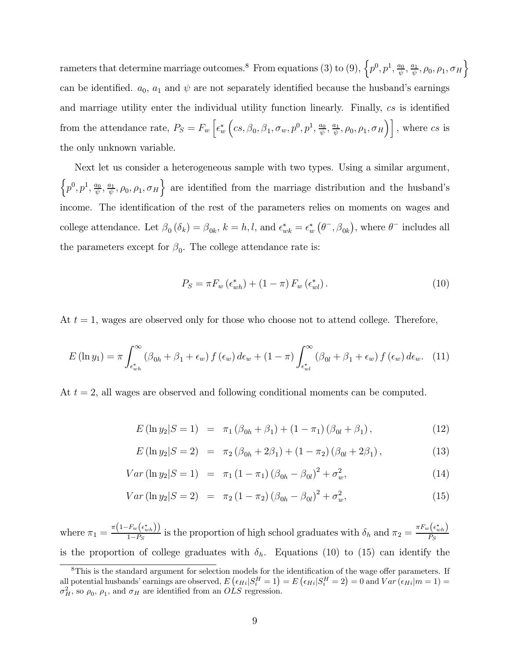rameters that determine marriage outcomes.<sup>8</sup> From equations (3) to (9),  $\left\{p^0, p^1, \frac{a_0}{\psi}, \frac{a_1}{\psi}, \rho_0, \rho_1, \sigma_H\right\}$ can be identified.  $a_0$ ,  $a_1$  and  $\psi$  are not separately identified because the husband's earnings and marriage utility enter the individual utility function linearly. Finally, cs is identified from the attendance rate,  $P_S = F_w \left[ \epsilon_w^* \right]$  $(c_8, \beta_0, \beta_1, \sigma_w, p^0, p^1, \frac{a_0}{\psi}, \frac{a_1}{\psi}, \rho_0, \rho_1, \sigma_H)$ , where cs is the only unknown variable.

Next let us consider a heterogeneous sample with two types. Using a similar argument,  $\left\{p^0, p^1, \frac{a_0}{\psi}, \frac{a_1}{\psi}, \rho_0, \rho_1, \sigma_H\right\}$  are identified from the marriage distribution and the husband's income. The identification of the rest of the parameters relies on moments on wages and college attendance. Let  $\beta_0(\delta_k) = \beta_{0k}$ ,  $k = h, l$ , and  $\epsilon_{wk}^* = \epsilon_w^* (\theta^-, \beta_{0k})$ , where  $\theta^-$  includes all the parameters except for  $\beta_0$ . The college attendance rate is:

$$
P_S = \pi F_w \left( \epsilon_{wh}^* \right) + (1 - \pi) F_w \left( \epsilon_{wl}^* \right). \tag{10}
$$

At  $t = 1$ , wages are observed only for those who choose not to attend college. Therefore,

$$
E\left(\ln y_1\right) = \pi \int_{\epsilon_{wh}^*}^{\infty} \left(\beta_{0h} + \beta_1 + \epsilon_w\right) f\left(\epsilon_w\right) d\epsilon_w + (1 - \pi) \int_{\epsilon_{wl}^*}^{\infty} \left(\beta_{0l} + \beta_1 + \epsilon_w\right) f\left(\epsilon_w\right) d\epsilon_w. \tag{11}
$$

At  $t = 2$ , all wages are observed and following conditional moments can be computed.

$$
E(\ln y_2|S=1) = \pi_1(\beta_{0h} + \beta_1) + (1 - \pi_1)(\beta_{0l} + \beta_1), \qquad (12)
$$

$$
E(\ln y_2|S=2) = \pi_2(\beta_{0h} + 2\beta_1) + (1 - \pi_2)(\beta_{0l} + 2\beta_1), \qquad (13)
$$

$$
Var\left(\ln y_2|S=1\right) = \pi_1\left(1-\pi_1\right)\left(\beta_{0h} - \beta_{0l}\right)^2 + \sigma_w^2,\tag{14}
$$

$$
Var\left(\ln y_2|S=2\right) = \pi_2\left(1-\pi_2\right)\left(\beta_{0h} - \beta_{0l}\right)^2 + \sigma_w^2,\tag{15}
$$

where  $\pi_1 = \frac{\pi (1 - F_w(\epsilon_{wh}^*))}{1 - P_S}$  is the proportion of high school graduates with  $\delta_h$  and  $\pi_2 = \frac{\pi F_w(\epsilon_{wh}^*)}{P_S}$  $P_S$ is the proportion of college graduates with  $\delta_h$ . Equations (10) to (15) can identify the

<sup>&</sup>lt;sup>8</sup>This is the standard argument for selection models for the identification of the wage offer parameters. If all potential husbands' earnings are observed,  $E\left(\epsilon_{Hi}|S_i^H=1\right) = E\left(\epsilon_{Hi}|S_i^H=2\right) = 0$  and  $Var\left(\epsilon_{Hi}|m=1\right) =$  $\sigma_H^2$ , so  $\rho_0$ ,  $\rho_1$ , and  $\sigma_H$  are identified from an  $OLS$  regression.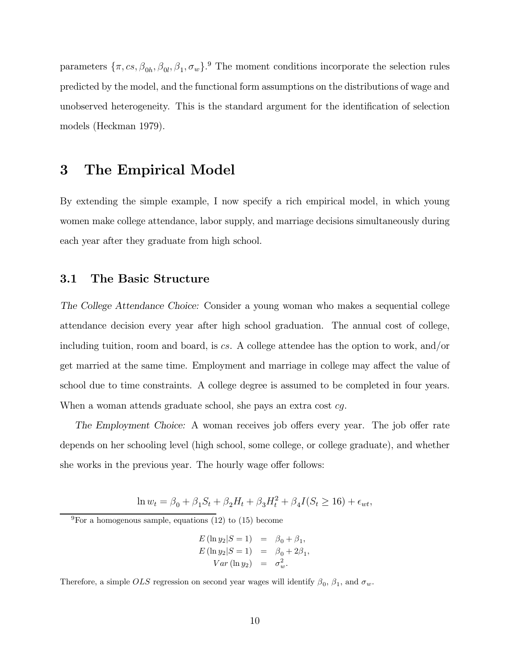parameters  $\{\pi, cs, \beta_{0h}, \beta_{0l}, \beta_1, \sigma_w\}$ .<sup>9</sup> The moment conditions incorporate the selection rules predicted by the model, and the functional form assumptions on the distributions of wage and unobserved heterogeneity. This is the standard argument for the identification of selection models (Heckman 1979).

### 3 The Empirical Model

By extending the simple example, I now specify a rich empirical model, in which young women make college attendance, labor supply, and marriage decisions simultaneously during each year after they graduate from high school.

### 3.1 The Basic Structure

The College Attendance Choice: Consider a young woman who makes a sequential college attendance decision every year after high school graduation. The annual cost of college, including tuition, room and board, is cs. A college attendee has the option to work, and/or get married at the same time. Employment and marriage in college may affect the value of school due to time constraints. A college degree is assumed to be completed in four years. When a woman attends graduate school, she pays an extra cost cg.

The Employment Choice: A woman receives job offers every year. The job offer rate depends on her schooling level (high school, some college, or college graduate), and whether she works in the previous year. The hourly wage offer follows:

 $\ln w_t = \beta_0 + \beta_1 S_t + \beta_2 H_t + \beta_3 H_t^2 + \beta_4 I(S_t \ge 16) + \epsilon_{wt},$ 

 $\frac{9}{9}$ For a homogenous sample, equations (12) to (15) become

$$
E (\ln y_2 | S = 1) = \beta_0 + \beta_1,
$$
  
\n
$$
E (\ln y_2 | S = 1) = \beta_0 + 2\beta_1,
$$
  
\n
$$
Var (\ln y_2) = \sigma_w^2.
$$

Therefore, a simple  $OLS$  regression on second year wages will identify  $\beta_0$ ,  $\beta_1$ , and  $\sigma_w$ .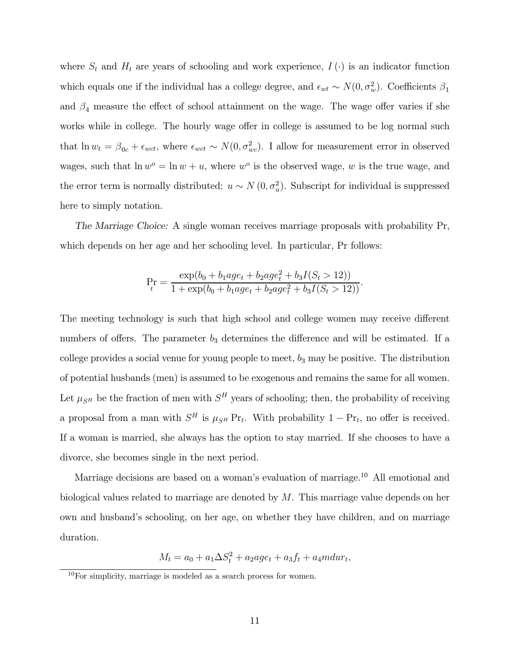where  $S_t$  and  $H_t$  are years of schooling and work experience,  $I(\cdot)$  is an indicator function which equals one if the individual has a college degree, and  $\epsilon_{wt} \sim N(0, \sigma_w^2)$ . Coefficients  $\beta_1$ and  $\beta_4$  measure the effect of school attainment on the wage. The wage offer varies if she works while in college. The hourly wage offer in college is assumed to be log normal such that  $\ln w_t = \beta_{0c} + \epsilon_{wct}$ , where  $\epsilon_{wct} \sim N(0, \sigma_{wc}^2)$ . I allow for measurement error in observed wages, such that  $\ln w^o = \ln w + u$ , where w<sup>o</sup> is the observed wage, w is the true wage, and the error term is normally distributed:  $u \sim N(0, \sigma_u^2)$ . Subscript for individual is suppressed here to simply notation.

The Marriage Choice: A single woman receives marriage proposals with probability Pr, which depends on her age and her schooling level. In particular, Pr follows:

$$
\Pr_t = \frac{\exp(b_0 + b_1 a g e_t + b_2 a g e_t^2 + b_3 I(S_t > 12))}{1 + \exp(b_0 + b_1 a g e_t + b_2 a g e_t^2 + b_3 I(S_t > 12))}.
$$

The meeting technology is such that high school and college women may receive different numbers of offers. The parameter  $b_3$  determines the difference and will be estimated. If a college provides a social venue for young people to meet,  $b_3$  may be positive. The distribution of potential husbands (men) is assumed to be exogenous and remains the same for all women. Let  $\mu_{SH}$  be the fraction of men with  $S^H$  years of schooling; then, the probability of receiving a proposal from a man with  $S^H$  is  $\mu_{S^H}$  Pr<sub>t</sub>. With probability  $1 - Pr_t$ , no offer is received. If a woman is married, she always has the option to stay married. If she chooses to have a divorce, she becomes single in the next period.

Marriage decisions are based on a woman's evaluation of marriage.<sup>10</sup> All emotional and biological values related to marriage are denoted by M. This marriage value depends on her own and husband's schooling, on her age, on whether they have children, and on marriage duration.

$$
M_t = a_0 + a_1 \Delta S_t^2 + a_2 a g e_t + a_3 f_t + a_4 m dw_t,
$$

 $10$ For simplicity, marriage is modeled as a search process for women.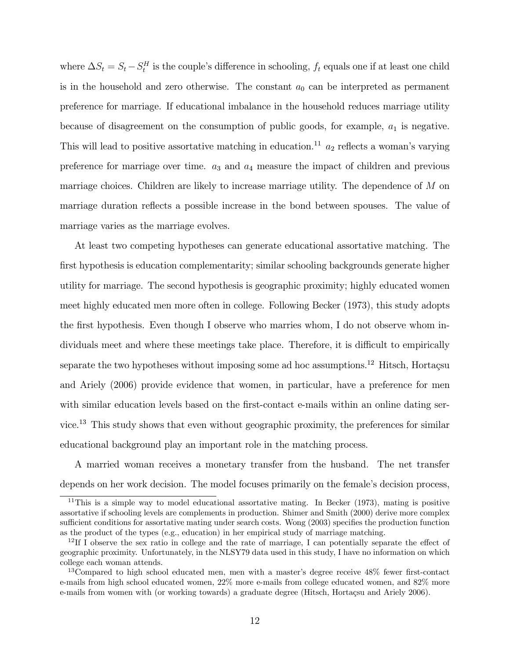where  $\Delta S_t = S_t - S_t^H$  is the couple's difference in schooling,  $f_t$  equals one if at least one child is in the household and zero otherwise. The constant  $a_0$  can be interpreted as permanent preference for marriage. If educational imbalance in the household reduces marriage utility because of disagreement on the consumption of public goods, for example,  $a_1$  is negative. This will lead to positive assortative matching in education.<sup>11</sup>  $a_2$  reflects a woman's varying preference for marriage over time.  $a_3$  and  $a_4$  measure the impact of children and previous marriage choices. Children are likely to increase marriage utility. The dependence of M on marriage duration reflects a possible increase in the bond between spouses. The value of marriage varies as the marriage evolves.

At least two competing hypotheses can generate educational assortative matching. The first hypothesis is education complementarity; similar schooling backgrounds generate higher utility for marriage. The second hypothesis is geographic proximity; highly educated women meet highly educated men more often in college. Following Becker (1973), this study adopts the first hypothesis. Even though I observe who marries whom, I do not observe whom individuals meet and where these meetings take place. Therefore, it is difficult to empirically separate the two hypotheses without imposing some ad hoc assumptions.<sup>12</sup> Hitsch, Hortacsu and Ariely (2006) provide evidence that women, in particular, have a preference for men with similar education levels based on the first-contact e-mails within an online dating service.<sup>13</sup> This study shows that even without geographic proximity, the preferences for similar educational background play an important role in the matching process.

A married woman receives a monetary transfer from the husband. The net transfer depends on her work decision. The model focuses primarily on the female's decision process,

<sup>11</sup>This is a simple way to model educational assortative mating. In Becker (1973), mating is positive assortative if schooling levels are complements in production. Shimer and Smith (2000) derive more complex sufficient conditions for assortative mating under search costs. Wong (2003) specifies the production function as the product of the types (e.g., education) in her empirical study of marriage matching.

 $12$ If I observe the sex ratio in college and the rate of marriage, I can potentially separate the effect of geographic proximity. Unfortunately, in the NLSY79 data used in this study, I have no information on which college each woman attends.

<sup>&</sup>lt;sup>13</sup>Compared to high school educated men, men with a master's degree receive 48% fewer first-contact e-mails from high school educated women, 22% more e-mails from college educated women, and 82% more e-mails from women with (or working towards) a graduate degree (Hitsch, Hortaçsu and Ariely 2006).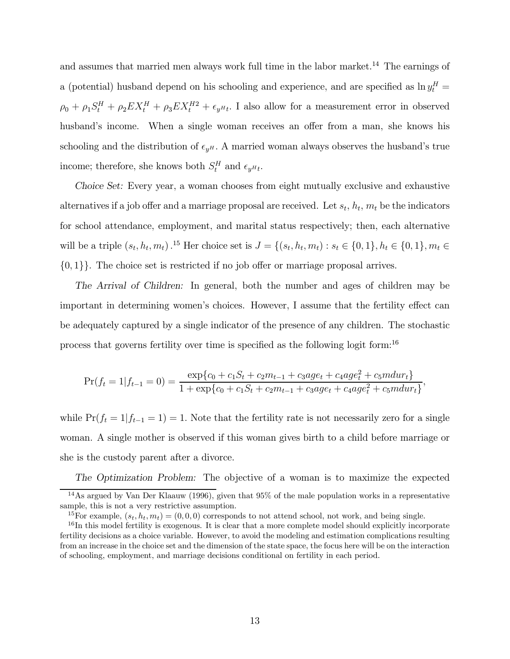and assumes that married men always work full time in the labor market.<sup>14</sup> The earnings of a (potential) husband depend on his schooling and experience, and are specified as  $\ln y_t^H$  =  $\rho_0 + \rho_1 S_t^H + \rho_2 E X_t^H + \rho_3 E X_t^{H2} + \epsilon_{y^H t}$ . I also allow for a measurement error in observed husband's income. When a single woman receives an offer from a man, she knows his schooling and the distribution of  $\epsilon_{yH}$ . A married woman always observes the husband's true income; therefore, she knows both  $S_t^H$  and  $\epsilon_{y^Ht}$ .

Choice Set: Every year, a woman chooses from eight mutually exclusive and exhaustive alternatives if a job offer and a marriage proposal are received. Let  $s_t$ ,  $h_t$ ,  $m_t$  be the indicators for school attendance, employment, and marital status respectively; then, each alternative will be a triple  $(s_t, h_t, m_t)$ .<sup>15</sup> Her choice set is  $J = \{(s_t, h_t, m_t) : s_t \in \{0, 1\}, h_t \in \{0, 1\}, m_t \in$  $\{0,1\}$ . The choice set is restricted if no job offer or marriage proposal arrives.

The Arrival of Children: In general, both the number and ages of children may be important in determining women's choices. However, I assume that the fertility effect can be adequately captured by a single indicator of the presence of any children. The stochastic process that governs fertility over time is specified as the following logit form:<sup>16</sup>

$$
\Pr(f_t = 1 | f_{t-1} = 0) = \frac{\exp\{c_0 + c_1 S_t + c_2 m_{t-1} + c_3 a g e_t + c_4 a g e_t^2 + c_5 m d u r_t\}}{1 + \exp\{c_0 + c_1 S_t + c_2 m_{t-1} + c_3 a g e_t + c_4 a g e_t^2 + c_5 m d u r_t\}},
$$

while  $Pr(f_t = 1 | f_{t-1} = 1) = 1$ . Note that the fertility rate is not necessarily zero for a single woman. A single mother is observed if this woman gives birth to a child before marriage or she is the custody parent after a divorce.

The Optimization Problem: The objective of a woman is to maximize the expected

<sup>&</sup>lt;sup>14</sup>As argued by Van Der Klaauw (1996), given that  $95\%$  of the male population works in a representative sample, this is not a very restrictive assumption.

<sup>&</sup>lt;sup>15</sup>For example,  $(s_t, h_t, m_t) = (0, 0, 0)$  corresponds to not attend school, not work, and being single.

<sup>&</sup>lt;sup>16</sup>In this model fertility is exogenous. It is clear that a more complete model should explicitly incorporate fertility decisions as a choice variable. However, to avoid the modeling and estimation complications resulting from an increase in the choice set and the dimension of the state space, the focus here will be on the interaction of schooling, employment, and marriage decisions conditional on fertility in each period.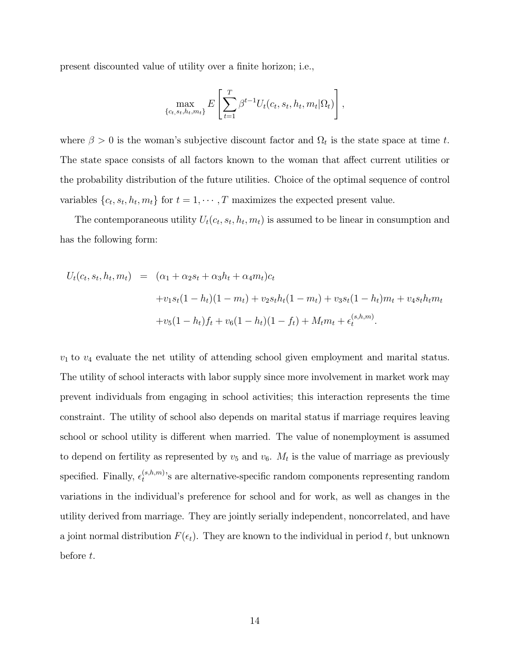present discounted value of utility over a finite horizon; i.e.,

$$
\max_{\{c_t, s_t, h_t, m_t\}} E\left[\sum_{t=1}^T \beta^{t-1} U_t(c_t, s_t, h_t, m_t | \Omega_t)\right],
$$

where  $\beta > 0$  is the woman's subjective discount factor and  $\Omega_t$  is the state space at time t. The state space consists of all factors known to the woman that affect current utilities or the probability distribution of the future utilities. Choice of the optimal sequence of control variables  $\{c_t, s_t, h_t, m_t\}$  for  $t = 1, \dots, T$  maximizes the expected present value.

The contemporaneous utility  $U_t(c_t, s_t, h_t, m_t)$  is assumed to be linear in consumption and has the following form:

$$
U_t(c_t, s_t, h_t, m_t) = (\alpha_1 + \alpha_2 s_t + \alpha_3 h_t + \alpha_4 m_t)c_t
$$
  
+ 
$$
v_1s_t(1 - h_t)(1 - m_t) + v_2s_th_t(1 - m_t) + v_3s_t(1 - h_t)m_t + v_4s_th_t m_t
$$
  
+ 
$$
v_5(1 - h_t)f_t + v_6(1 - h_t)(1 - f_t) + M_t m_t + \epsilon_t^{(s, h, m)}.
$$

 $v_1$  to  $v_4$  evaluate the net utility of attending school given employment and marital status. The utility of school interacts with labor supply since more involvement in market work may prevent individuals from engaging in school activities; this interaction represents the time constraint. The utility of school also depends on marital status if marriage requires leaving school or school utility is different when married. The value of nonemployment is assumed to depend on fertility as represented by  $v_5$  and  $v_6$ .  $M_t$  is the value of marriage as previously specified. Finally,  $\epsilon_t^{(s,h,m)}$ 's are alternative-specific random components representing random variations in the individual's preference for school and for work, as well as changes in the utility derived from marriage. They are jointly serially independent, noncorrelated, and have a joint normal distribution  $F(\epsilon_t)$ . They are known to the individual in period t, but unknown before t.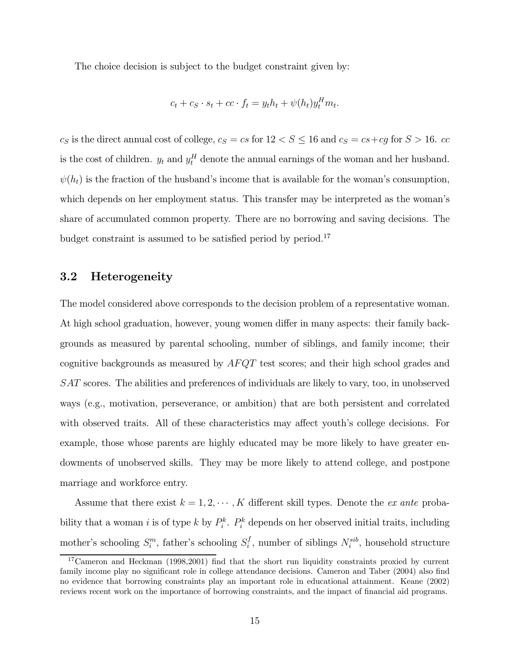The choice decision is subject to the budget constraint given by:

$$
c_t + c_S \cdot s_t + cc \cdot f_t = y_t h_t + \psi(h_t) y_t^H m_t.
$$

 $c_S$  is the direct annual cost of college,  $c_S = cs$  for  $12 < S \le 16$  and  $c_S = cs + cg$  for  $S > 16$ . cc is the cost of children.  $y_t$  and  $y_t^H$  denote the annual earnings of the woman and her husband.  $\psi(h_t)$  is the fraction of the husband's income that is available for the woman's consumption, which depends on her employment status. This transfer may be interpreted as the woman's share of accumulated common property. There are no borrowing and saving decisions. The budget constraint is assumed to be satisfied period by period.<sup>17</sup>

### 3.2 Heterogeneity

The model considered above corresponds to the decision problem of a representative woman. At high school graduation, however, young women differ in many aspects: their family backgrounds as measured by parental schooling, number of siblings, and family income; their cognitive backgrounds as measured by AFQT test scores; and their high school grades and SAT scores. The abilities and preferences of individuals are likely to vary, too, in unobserved ways (e.g., motivation, perseverance, or ambition) that are both persistent and correlated with observed traits. All of these characteristics may affect youth's college decisions. For example, those whose parents are highly educated may be more likely to have greater endowments of unobserved skills. They may be more likely to attend college, and postpone marriage and workforce entry.

Assume that there exist  $k = 1, 2, \cdots, K$  different skill types. Denote the *ex ante* probability that a woman i is of type k by  $P_i^k$ .  $P_i^k$  depends on her observed initial traits, including mother's schooling  $S_i^m$ , father's schooling  $S_i^f$ , number of siblings  $N_i^{sib}$ , household structure

<sup>&</sup>lt;sup>17</sup>Cameron and Heckman (1998,2001) find that the short run liquidity constraints proxied by current family income play no significant role in college attendance decisions. Cameron and Taber (2004) also find no evidence that borrowing constraints play an important role in educational attainment. Keane (2002) reviews recent work on the importance of borrowing constraints, and the impact of financial aid programs.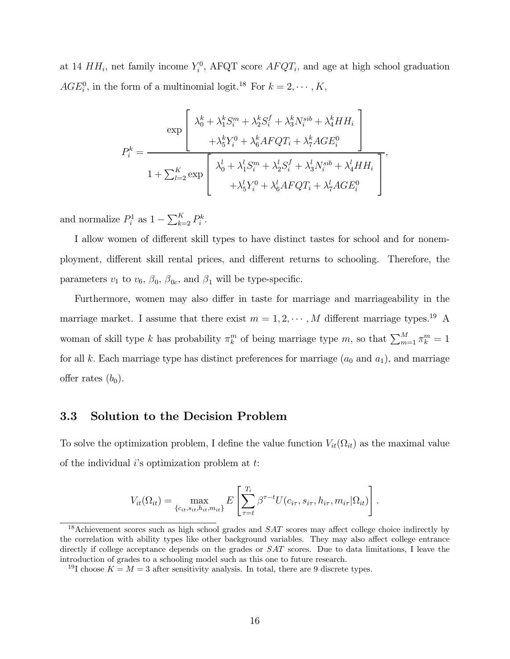at 14  $HH_i$ , net family income  $Y_i^0$ , AFQT score  $AFQT_i$ , and age at high school graduation  $AGE_i^0$ , in the form of a multinomial logit.<sup>18</sup> For  $k = 2, \dots, K$ ,

$$
P_i^k = \frac{\exp\left[\begin{array}{c}\lambda_0^k + \lambda_1^k S_i^m + \lambda_2^k S_i^f + \lambda_3^k N_i^{sib} + \lambda_4^k H H_i \\ + \lambda_5^k Y_i^0 + \lambda_6^k A F Q T_i + \lambda_7^k A G E_i^0\end{array}\right]}{1 + \sum_{l=2}^K \exp\left[\begin{array}{c}\lambda_0^l + \lambda_1^l S_i^m + \lambda_2^l S_i^f + \lambda_3^l N_i^{sib} + \lambda_4^l H H_i \\ + \lambda_5^l Y_i^0 + \lambda_6^l A F Q T_i + \lambda_7^l A G E_i^0\end{array}\right]},
$$

and normalize  $P_i^1$  as  $1 - \sum_{k=2}^K P_i^k$ .

I allow women of different skill types to have distinct tastes for school and for nonemployment, different skill rental prices, and different returns to schooling. Therefore, the parameters  $v_1$  to  $v_6$ ,  $\beta_0$ ,  $\beta_{0c}$ , and  $\beta_1$  will be type-specific.

Furthermore, women may also differ in taste for marriage and marriageability in the marriage market. I assume that there exist  $m = 1, 2, \cdots, M$  different marriage types.<sup>19</sup> A woman of skill type k has probability  $\pi_k^m$  of being marriage type m, so that  $\sum_{m=1}^M \pi_k^m = 1$ for all k. Each marriage type has distinct preferences for marriage  $(a_0 \text{ and } a_1)$ , and marriage offer rates  $(b_0)$ .

### 3.3 Solution to the Decision Problem

To solve the optimization problem, I define the value function  $V_{it}(\Omega_{it})$  as the maximal value of the individual  $i$ 's optimization problem at  $t$ :

$$
V_{it}(\Omega_{it}) = \max_{\{c_{it}, s_{it}, h_{it}, m_{it}\}} E\left[\sum_{\tau=t}^{T_i} \beta^{\tau-t} U(c_{i\tau}, s_{i\tau}, h_{i\tau}, m_{i\tau} | \Omega_{it})\right].
$$

<sup>&</sup>lt;sup>18</sup>Achievement scores such as high school grades and  $SAT$  scores may affect college choice indirectly by the correlation with ability types like other background variables. They may also affect college entrance directly if college acceptance depends on the grades or  $SAT$  scores. Due to data limitations, I leave the introduction of grades to a schooling model such as this one to future research.

<sup>&</sup>lt;sup>19</sup>I choose  $K = M = 3$  after sensitivity analysis. In total, there are 9 discrete types.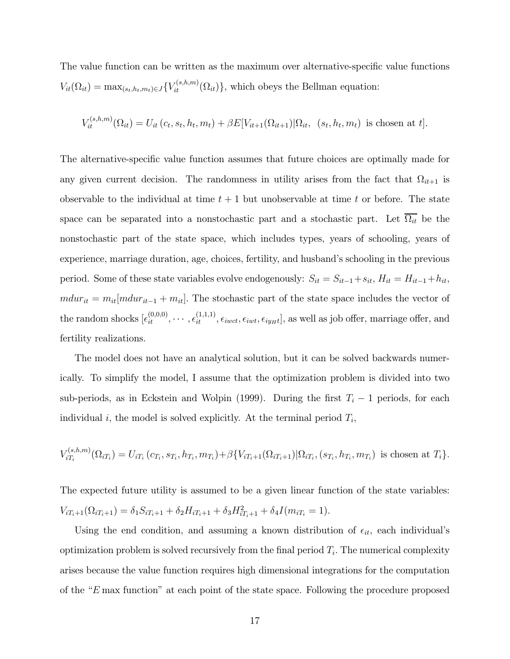The value function can be written as the maximum over alternative-specific value functions  $V_{it}(\Omega_{it}) = \max_{(s_t, h_t, m_t) \in J} \{V_{it}^{(s, h, m)}(\Omega_{it})\},$  which obeys the Bellman equation:

$$
V_{it}^{(s,h,m)}(\Omega_{it}) = U_{it}(c_t, s_t, h_t, m_t) + \beta E[V_{it+1}(\Omega_{it+1}) | \Omega_{it}, (s_t, h_t, m_t) \text{ is chosen at } t].
$$

The alternative-specific value function assumes that future choices are optimally made for any given current decision. The randomness in utility arises from the fact that  $\Omega_{it+1}$  is observable to the individual at time  $t + 1$  but unobservable at time t or before. The state space can be separated into a nonstochastic part and a stochastic part. Let  $\overline{\Omega_{it}}$  be the nonstochastic part of the state space, which includes types, years of schooling, years of experience, marriage duration, age, choices, fertility, and husband's schooling in the previous period. Some of these state variables evolve endogenously:  $S_{it} = S_{it-1} + s_{it}$ ,  $H_{it} = H_{it-1} + h_{it}$ ,  $mdur_{it} = m_{it}[mdur_{it-1} + m_{it}]$ . The stochastic part of the state space includes the vector of the random shocks  $[\epsilon_{it}^{(0,0,0)},\cdots,\epsilon_{it}^{(1,1,1)},\epsilon_{i wct},\epsilon_{i w1},\epsilon_{iy}]\$ , as well as job offer, marriage offer, and fertility realizations.

The model does not have an analytical solution, but it can be solved backwards numerically. To simplify the model, I assume that the optimization problem is divided into two sub-periods, as in Eckstein and Wolpin (1999). During the first  $T_i - 1$  periods, for each individual i, the model is solved explicitly. At the terminal period  $T_i$ ,

$$
V_{iT_i}^{(s,h,m)}(\Omega_{iT_i}) = U_{iT_i} (c_{T_i}, s_{T_i}, h_{T_i}, m_{T_i}) + \beta \{ V_{iT_i+1}(\Omega_{iT_i+1}) | \Omega_{iT_i}, (s_{T_i}, h_{T_i}, m_{T_i}) \text{ is chosen at } T_i \}.
$$

The expected future utility is assumed to be a given linear function of the state variables:  $V_{iT_i+1}(\Omega_{iT_i+1}) = \delta_1 S_{iT_i+1} + \delta_2 H_{iT_i+1} + \delta_3 H_{iT_i+1}^2 + \delta_4 I(m_{iT_i} = 1).$ 

Using the end condition, and assuming a known distribution of  $\epsilon_{it}$ , each individual's optimization problem is solved recursively from the final period  $T_i$ . The numerical complexity arises because the value function requires high dimensional integrations for the computation of the "E max function" at each point of the state space. Following the procedure proposed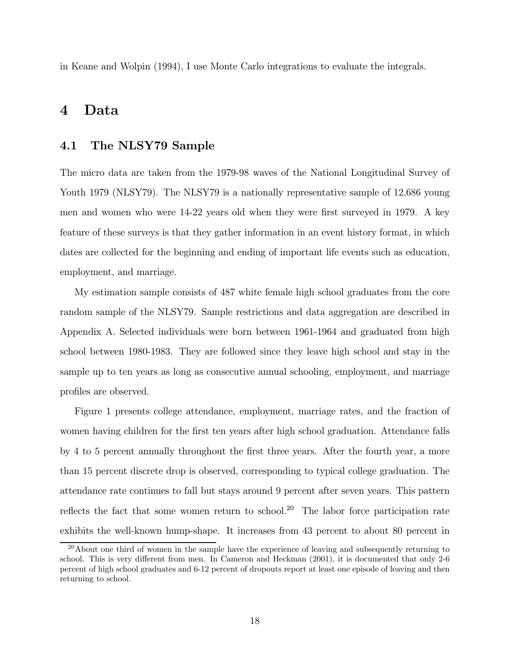in Keane and Wolpin (1994), I use Monte Carlo integrations to evaluate the integrals.

### 4 Data

#### 4.1 The NLSY79 Sample

The micro data are taken from the 1979-98 waves of the National Longitudinal Survey of Youth 1979 (NLSY79). The NLSY79 is a nationally representative sample of 12,686 young men and women who were 14-22 years old when they were first surveyed in 1979. A key feature of these surveys is that they gather information in an event history format, in which dates are collected for the beginning and ending of important life events such as education, employment, and marriage.

My estimation sample consists of 487 white female high school graduates from the core random sample of the NLSY79. Sample restrictions and data aggregation are described in Appendix A. Selected individuals were born between 1961-1964 and graduated from high school between 1980-1983. They are followed since they leave high school and stay in the sample up to ten years as long as consecutive annual schooling, employment, and marriage profiles are observed.

Figure 1 presents college attendance, employment, marriage rates, and the fraction of women having children for the first ten years after high school graduation. Attendance falls by 4 to 5 percent annually throughout the first three years. After the fourth year, a more than 15 percent discrete drop is observed, corresponding to typical college graduation. The attendance rate continues to fall but stays around 9 percent after seven years. This pattern reflects the fact that some women return to school.<sup>20</sup> The labor force participation rate exhibits the well-known hump-shape. It increases from 43 percent to about 80 percent in

 $^{20}$ About one third of women in the sample have the experience of leaving and subsequently returning to school. This is very different from men. In Cameron and Heckman (2001), it is documented that only 2-6 percent of high school graduates and 6-12 percent of dropouts report at least one episode of leaving and then returning to school.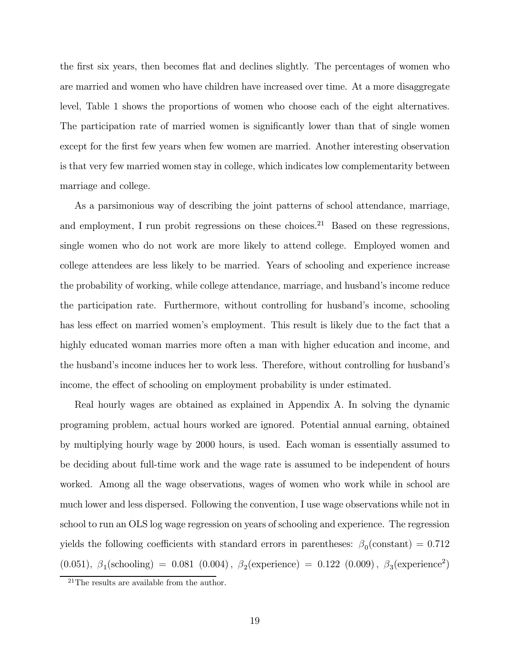the first six years, then becomes flat and declines slightly. The percentages of women who are married and women who have children have increased over time. At a more disaggregate level, Table 1 shows the proportions of women who choose each of the eight alternatives. The participation rate of married women is significantly lower than that of single women except for the first few years when few women are married. Another interesting observation is that very few married women stay in college, which indicates low complementarity between marriage and college.

As a parsimonious way of describing the joint patterns of school attendance, marriage, and employment, I run probit regressions on these choices.<sup>21</sup> Based on these regressions, single women who do not work are more likely to attend college. Employed women and college attendees are less likely to be married. Years of schooling and experience increase the probability of working, while college attendance, marriage, and husband's income reduce the participation rate. Furthermore, without controlling for husband's income, schooling has less effect on married women's employment. This result is likely due to the fact that a highly educated woman marries more often a man with higher education and income, and the husband's income induces her to work less. Therefore, without controlling for husband's income, the effect of schooling on employment probability is under estimated.

Real hourly wages are obtained as explained in Appendix A. In solving the dynamic programing problem, actual hours worked are ignored. Potential annual earning, obtained by multiplying hourly wage by 2000 hours, is used. Each woman is essentially assumed to be deciding about full-time work and the wage rate is assumed to be independent of hours worked. Among all the wage observations, wages of women who work while in school are much lower and less dispersed. Following the convention, I use wage observations while not in school to run an OLS log wage regression on years of schooling and experience. The regression yields the following coefficients with standard errors in parentheses:  $\beta_0$ (constant) = 0.712 (0.051),  $\beta_1$ (schooling) = 0.081 (0.004),  $\beta_2$ (experience) = 0.122 (0.009),  $\beta_3$ (experience<sup>2</sup>)

<sup>&</sup>lt;sup>21</sup>The results are available from the author.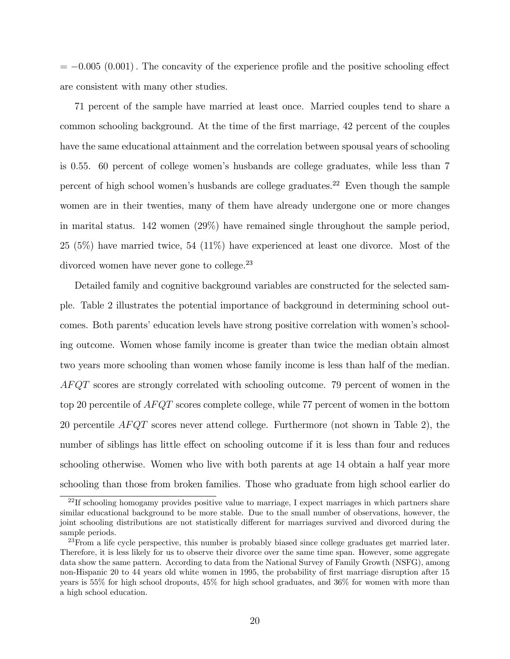$= -0.005$  (0.001). The concavity of the experience profile and the positive schooling effect are consistent with many other studies.

71 percent of the sample have married at least once. Married couples tend to share a common schooling background. At the time of the first marriage, 42 percent of the couples have the same educational attainment and the correlation between spousal years of schooling is 0.55. 60 percent of college women's husbands are college graduates, while less than 7 percent of high school women's husbands are college graduates.<sup>22</sup> Even though the sample women are in their twenties, many of them have already undergone one or more changes in marital status. 142 women (29%) have remained single throughout the sample period, 25 (5%) have married twice, 54 (11%) have experienced at least one divorce. Most of the divorced women have never gone to college.<sup>23</sup>

Detailed family and cognitive background variables are constructed for the selected sample. Table 2 illustrates the potential importance of background in determining school outcomes. Both parents' education levels have strong positive correlation with women's schooling outcome. Women whose family income is greater than twice the median obtain almost two years more schooling than women whose family income is less than half of the median. AF QT scores are strongly correlated with schooling outcome. 79 percent of women in the top 20 percentile of AFQT scores complete college, while 77 percent of women in the bottom 20 percentile  $AFQT$  scores never attend college. Furthermore (not shown in Table 2), the number of siblings has little effect on schooling outcome if it is less than four and reduces schooling otherwise. Women who live with both parents at age 14 obtain a half year more schooling than those from broken families. Those who graduate from high school earlier do

<sup>&</sup>lt;sup>22</sup>If schooling homogamy provides positive value to marriage, I expect marriages in which partners share similar educational background to be more stable. Due to the small number of observations, however, the joint schooling distributions are not statistically different for marriages survived and divorced during the sample periods.

 $^{23}$ From a life cycle perspective, this number is probably biased since college graduates get married later. Therefore, it is less likely for us to observe their divorce over the same time span. However, some aggregate data show the same pattern. According to data from the National Survey of Family Growth (NSFG), among non-Hispanic 20 to 44 years old white women in 1995, the probability of first marriage disruption after 15 years is 55% for high school dropouts, 45% for high school graduates, and 36% for women with more than a high school education.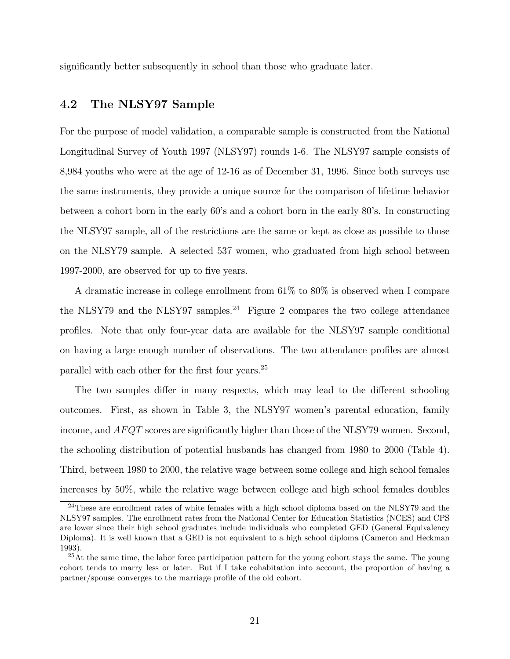significantly better subsequently in school than those who graduate later.

### 4.2 The NLSY97 Sample

For the purpose of model validation, a comparable sample is constructed from the National Longitudinal Survey of Youth 1997 (NLSY97) rounds 1-6. The NLSY97 sample consists of 8,984 youths who were at the age of 12-16 as of December 31, 1996. Since both surveys use the same instruments, they provide a unique source for the comparison of lifetime behavior between a cohort born in the early 60's and a cohort born in the early 80's. In constructing the NLSY97 sample, all of the restrictions are the same or kept as close as possible to those on the NLSY79 sample. A selected 537 women, who graduated from high school between 1997-2000, are observed for up to five years.

A dramatic increase in college enrollment from 61% to 80% is observed when I compare the NLSY79 and the NLSY97 samples.<sup>24</sup> Figure 2 compares the two college attendance profiles. Note that only four-year data are available for the NLSY97 sample conditional on having a large enough number of observations. The two attendance profiles are almost parallel with each other for the first four years.<sup>25</sup>

The two samples differ in many respects, which may lead to the different schooling outcomes. First, as shown in Table 3, the NLSY97 women's parental education, family income, and  $AFQT$  scores are significantly higher than those of the NLSY79 women. Second, the schooling distribution of potential husbands has changed from 1980 to 2000 (Table 4). Third, between 1980 to 2000, the relative wage between some college and high school females increases by 50%, while the relative wage between college and high school females doubles

<sup>&</sup>lt;sup>24</sup>These are enrollment rates of white females with a high school diploma based on the NLSY79 and the NLSY97 samples. The enrollment rates from the National Center for Education Statistics (NCES) and CPS are lower since their high school graduates include individuals who completed GED (General Equivalency Diploma). It is well known that a GED is not equivalent to a high school diploma (Cameron and Heckman 1993).

 $25$ At the same time, the labor force participation pattern for the young cohort stays the same. The young cohort tends to marry less or later. But if I take cohabitation into account, the proportion of having a partner/spouse converges to the marriage profile of the old cohort.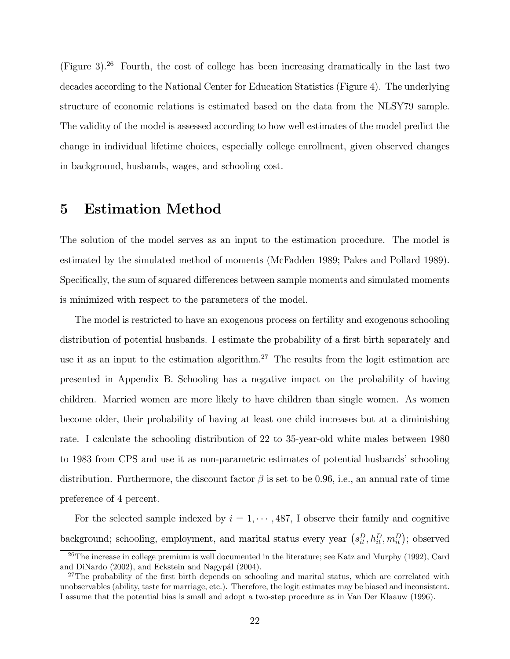(Figure 3).<sup>26</sup> Fourth, the cost of college has been increasing dramatically in the last two decades according to the National Center for Education Statistics (Figure 4). The underlying structure of economic relations is estimated based on the data from the NLSY79 sample. The validity of the model is assessed according to how well estimates of the model predict the change in individual lifetime choices, especially college enrollment, given observed changes in background, husbands, wages, and schooling cost.

### 5 Estimation Method

The solution of the model serves as an input to the estimation procedure. The model is estimated by the simulated method of moments (McFadden 1989; Pakes and Pollard 1989). Specifically, the sum of squared differences between sample moments and simulated moments is minimized with respect to the parameters of the model.

The model is restricted to have an exogenous process on fertility and exogenous schooling distribution of potential husbands. I estimate the probability of a first birth separately and use it as an input to the estimation algorithm.<sup>27</sup> The results from the logit estimation are presented in Appendix B. Schooling has a negative impact on the probability of having children. Married women are more likely to have children than single women. As women become older, their probability of having at least one child increases but at a diminishing rate. I calculate the schooling distribution of 22 to 35-year-old white males between 1980 to 1983 from CPS and use it as non-parametric estimates of potential husbands' schooling distribution. Furthermore, the discount factor  $\beta$  is set to be 0.96, i.e., an annual rate of time preference of 4 percent.

For the selected sample indexed by  $i = 1, \dots, 487$ , I observe their family and cognitive background; schooling, employment, and marital status every year  $(s_{it}^D, h_{it}^D, m_{it}^D)$ ; observed

<sup>&</sup>lt;sup>26</sup>The increase in college premium is well documented in the literature; see Katz and Murphy (1992), Card and DiNardo (2002), and Eckstein and Nagypál (2004).

<sup>&</sup>lt;sup>27</sup>The probability of the first birth depends on schooling and marital status, which are correlated with unobservables (ability, taste for marriage, etc.). Therefore, the logit estimates may be biased and inconsistent. I assume that the potential bias is small and adopt a two-step procedure as in Van Der Klaauw (1996).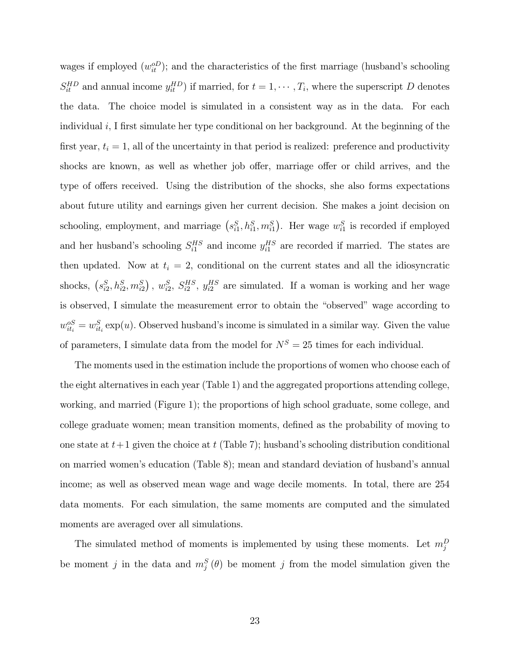wages if employed  $(w_{it}^{oD})$ ; and the characteristics of the first marriage (husband's schooling  $S_{it}^{HD}$  and annual income  $y_{it}^{HD}$ ) if married, for  $t = 1, \dots, T_i$ , where the superscript D denotes the data. The choice model is simulated in a consistent way as in the data. For each individual  $i$ , I first simulate her type conditional on her background. At the beginning of the first year,  $t_i = 1$ , all of the uncertainty in that period is realized: preference and productivity shocks are known, as well as whether job offer, marriage offer or child arrives, and the type of offers received. Using the distribution of the shocks, she also forms expectations about future utility and earnings given her current decision. She makes a joint decision on schooling, employment, and marriage  $(s_{i1}^S, h_{i1}^S, m_{i1}^S)$ . Her wage  $w_{i1}^S$  is recorded if employed and her husband's schooling  $S_{i1}^{HS}$  and income  $y_{i1}^{HS}$  are recorded if married. The states are then updated. Now at  $t_i = 2$ , conditional on the current states and all the idiosyncratic shocks,  $(s_{i2}^S, h_{i2}^S, m_{i2}^S)$ ,  $w_{i2}^S$ ,  $S_{i2}^{HS}$ ,  $y_{i2}^{HS}$  are simulated. If a woman is working and her wage is observed, I simulate the measurement error to obtain the "observed" wage according to  $w_{it_i}^{\text{oS}} = w_{it_i}^S \exp(u)$ . Observed husband's income is simulated in a similar way. Given the value of parameters, I simulate data from the model for  $N^S = 25$  times for each individual.

The moments used in the estimation include the proportions of women who choose each of the eight alternatives in each year (Table 1) and the aggregated proportions attending college, working, and married (Figure 1); the proportions of high school graduate, some college, and college graduate women; mean transition moments, defined as the probability of moving to one state at  $t+1$  given the choice at t (Table 7); husband's schooling distribution conditional on married women's education (Table 8); mean and standard deviation of husband's annual income; as well as observed mean wage and wage decile moments. In total, there are 254 data moments. For each simulation, the same moments are computed and the simulated moments are averaged over all simulations.

The simulated method of moments is implemented by using these moments. Let  $m_j^D$ be moment j in the data and  $m_j^S(\theta)$  be moment j from the model simulation given the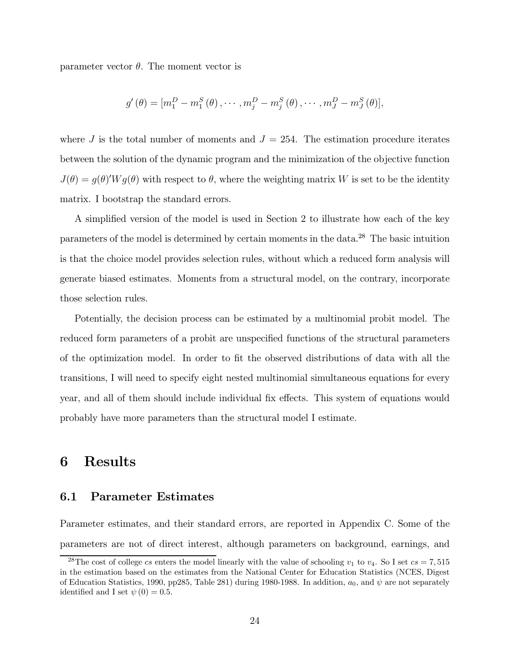parameter vector  $\theta$ . The moment vector is

$$
g'(\theta) = [m_1^D - m_1^S(\theta), \cdots, m_j^D - m_j^S(\theta), \cdots, m_J^D - m_J^S(\theta)],
$$

where J is the total number of moments and  $J = 254$ . The estimation procedure iterates between the solution of the dynamic program and the minimization of the objective function  $J(\theta) = g(\theta)'Wg(\theta)$  with respect to  $\theta$ , where the weighting matrix W is set to be the identity matrix. I bootstrap the standard errors.

A simplified version of the model is used in Section 2 to illustrate how each of the key parameters of the model is determined by certain moments in the data.<sup>28</sup> The basic intuition is that the choice model provides selection rules, without which a reduced form analysis will generate biased estimates. Moments from a structural model, on the contrary, incorporate those selection rules.

Potentially, the decision process can be estimated by a multinomial probit model. The reduced form parameters of a probit are unspecified functions of the structural parameters of the optimization model. In order to fit the observed distributions of data with all the transitions, I will need to specify eight nested multinomial simultaneous equations for every year, and all of them should include individual fix effects. This system of equations would probably have more parameters than the structural model I estimate.

### 6 Results

#### 6.1 Parameter Estimates

Parameter estimates, and their standard errors, are reported in Appendix C. Some of the parameters are not of direct interest, although parameters on background, earnings, and

<sup>&</sup>lt;sup>28</sup>The cost of college *cs* enters the model linearly with the value of schooling  $v_1$  to  $v_4$ . So I set  $cs = 7,515$ in the estimation based on the estimates from the National Center for Education Statistics (NCES, Digest of Education Statistics, 1990, pp285, Table 281) during 1980-1988. In addition,  $a_0$ , and  $\psi$  are not separately identified and I set  $\psi(0) = 0.5$ .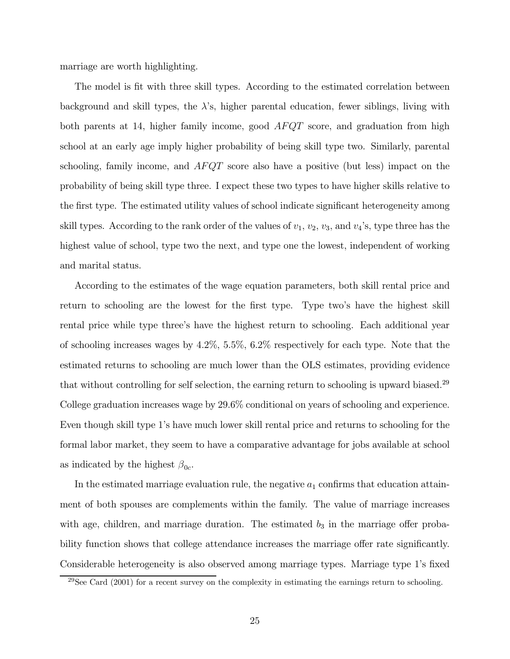marriage are worth highlighting.

The model is fit with three skill types. According to the estimated correlation between background and skill types, the  $\lambda$ 's, higher parental education, fewer siblings, living with both parents at 14, higher family income, good  $AFQT$  score, and graduation from high school at an early age imply higher probability of being skill type two. Similarly, parental schooling, family income, and  $AFQT$  score also have a positive (but less) impact on the probability of being skill type three. I expect these two types to have higher skills relative to the first type. The estimated utility values of school indicate significant heterogeneity among skill types. According to the rank order of the values of  $v_1, v_2, v_3$ , and  $v_4$ 's, type three has the highest value of school, type two the next, and type one the lowest, independent of working and marital status.

According to the estimates of the wage equation parameters, both skill rental price and return to schooling are the lowest for the first type. Type two's have the highest skill rental price while type three's have the highest return to schooling. Each additional year of schooling increases wages by 4.2%, 5.5%, 6.2% respectively for each type. Note that the estimated returns to schooling are much lower than the OLS estimates, providing evidence that without controlling for self selection, the earning return to schooling is upward biased.<sup>29</sup> College graduation increases wage by 29.6% conditional on years of schooling and experience. Even though skill type 1's have much lower skill rental price and returns to schooling for the formal labor market, they seem to have a comparative advantage for jobs available at school as indicated by the highest  $\beta_{0c}$ .

In the estimated marriage evaluation rule, the negative  $a_1$  confirms that education attainment of both spouses are complements within the family. The value of marriage increases with age, children, and marriage duration. The estimated  $b_3$  in the marriage offer probability function shows that college attendance increases the marriage offer rate significantly. Considerable heterogeneity is also observed among marriage types. Marriage type 1's fixed

 $^{29}$ See Card (2001) for a recent survey on the complexity in estimating the earnings return to schooling.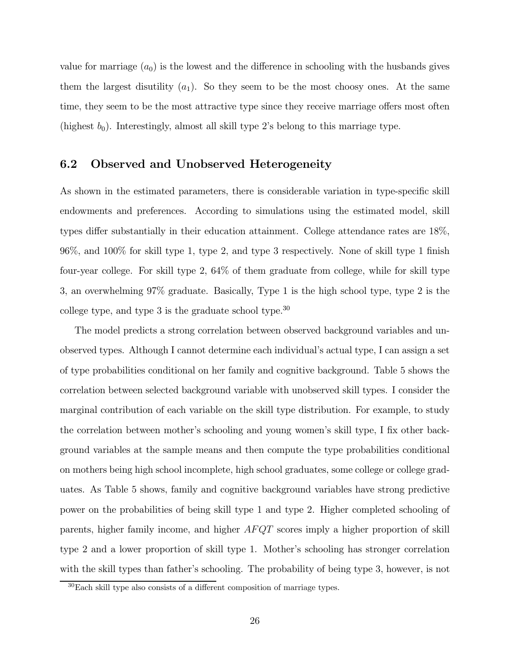value for marriage  $(a_0)$  is the lowest and the difference in schooling with the husbands gives them the largest disutility  $(a_1)$ . So they seem to be the most choosy ones. At the same time, they seem to be the most attractive type since they receive marriage offers most often (highest  $b_0$ ). Interestingly, almost all skill type 2's belong to this marriage type.

### 6.2 Observed and Unobserved Heterogeneity

As shown in the estimated parameters, there is considerable variation in type-specific skill endowments and preferences. According to simulations using the estimated model, skill types differ substantially in their education attainment. College attendance rates are 18%, 96%, and 100% for skill type 1, type 2, and type 3 respectively. None of skill type 1 finish four-year college. For skill type 2, 64% of them graduate from college, while for skill type 3, an overwhelming 97% graduate. Basically, Type 1 is the high school type, type 2 is the college type, and type  $3$  is the graduate school type.<sup>30</sup>

The model predicts a strong correlation between observed background variables and unobserved types. Although I cannot determine each individual's actual type, I can assign a set of type probabilities conditional on her family and cognitive background. Table 5 shows the correlation between selected background variable with unobserved skill types. I consider the marginal contribution of each variable on the skill type distribution. For example, to study the correlation between mother's schooling and young women's skill type, I fix other background variables at the sample means and then compute the type probabilities conditional on mothers being high school incomplete, high school graduates, some college or college graduates. As Table 5 shows, family and cognitive background variables have strong predictive power on the probabilities of being skill type 1 and type 2. Higher completed schooling of parents, higher family income, and higher AFQT scores imply a higher proportion of skill type 2 and a lower proportion of skill type 1. Mother's schooling has stronger correlation with the skill types than father's schooling. The probability of being type 3, however, is not

 $30$ Each skill type also consists of a different composition of marriage types.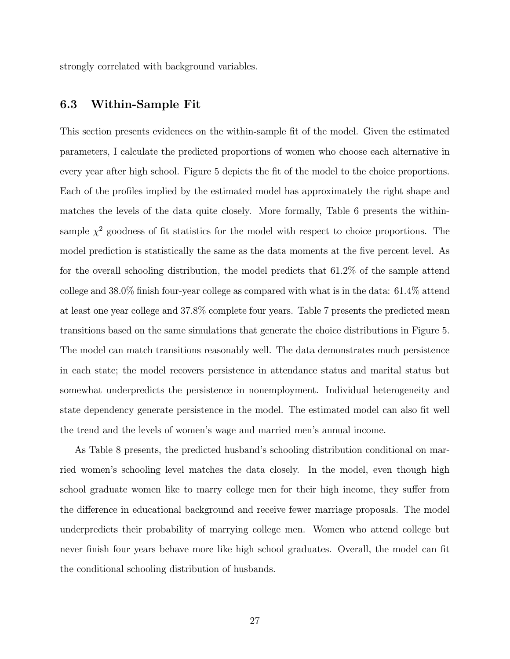strongly correlated with background variables.

### 6.3 Within-Sample Fit

This section presents evidences on the within-sample fit of the model. Given the estimated parameters, I calculate the predicted proportions of women who choose each alternative in every year after high school. Figure 5 depicts the fit of the model to the choice proportions. Each of the profiles implied by the estimated model has approximately the right shape and matches the levels of the data quite closely. More formally, Table 6 presents the withinsample  $\chi^2$  goodness of fit statistics for the model with respect to choice proportions. The model prediction is statistically the same as the data moments at the five percent level. As for the overall schooling distribution, the model predicts that 61.2% of the sample attend college and 38.0% finish four-year college as compared with what is in the data: 61.4% attend at least one year college and 37.8% complete four years. Table 7 presents the predicted mean transitions based on the same simulations that generate the choice distributions in Figure 5. The model can match transitions reasonably well. The data demonstrates much persistence in each state; the model recovers persistence in attendance status and marital status but somewhat underpredicts the persistence in nonemployment. Individual heterogeneity and state dependency generate persistence in the model. The estimated model can also fit well the trend and the levels of women's wage and married men's annual income.

As Table 8 presents, the predicted husband's schooling distribution conditional on married women's schooling level matches the data closely. In the model, even though high school graduate women like to marry college men for their high income, they suffer from the difference in educational background and receive fewer marriage proposals. The model underpredicts their probability of marrying college men. Women who attend college but never finish four years behave more like high school graduates. Overall, the model can fit the conditional schooling distribution of husbands.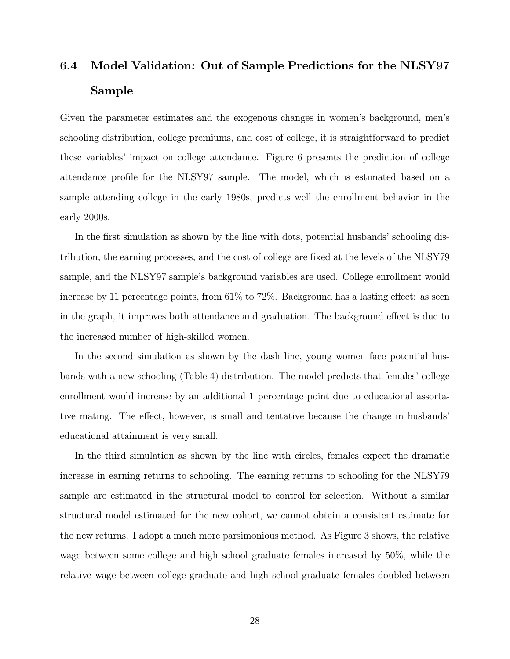## 6.4 Model Validation: Out of Sample Predictions for the NLSY97 Sample

Given the parameter estimates and the exogenous changes in women's background, men's schooling distribution, college premiums, and cost of college, it is straightforward to predict these variables' impact on college attendance. Figure 6 presents the prediction of college attendance profile for the NLSY97 sample. The model, which is estimated based on a sample attending college in the early 1980s, predicts well the enrollment behavior in the early 2000s.

In the first simulation as shown by the line with dots, potential husbands' schooling distribution, the earning processes, and the cost of college are fixed at the levels of the NLSY79 sample, and the NLSY97 sample's background variables are used. College enrollment would increase by 11 percentage points, from 61% to 72%. Background has a lasting effect: as seen in the graph, it improves both attendance and graduation. The background effect is due to the increased number of high-skilled women.

In the second simulation as shown by the dash line, young women face potential husbands with a new schooling (Table 4) distribution. The model predicts that females' college enrollment would increase by an additional 1 percentage point due to educational assortative mating. The effect, however, is small and tentative because the change in husbands' educational attainment is very small.

In the third simulation as shown by the line with circles, females expect the dramatic increase in earning returns to schooling. The earning returns to schooling for the NLSY79 sample are estimated in the structural model to control for selection. Without a similar structural model estimated for the new cohort, we cannot obtain a consistent estimate for the new returns. I adopt a much more parsimonious method. As Figure 3 shows, the relative wage between some college and high school graduate females increased by 50%, while the relative wage between college graduate and high school graduate females doubled between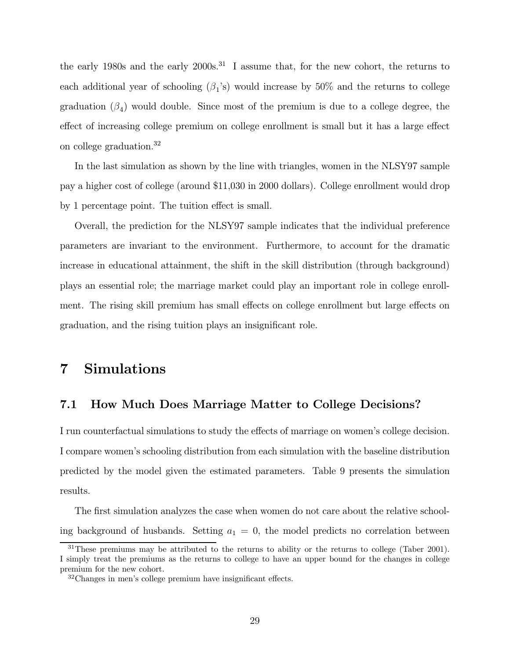the early 1980s and the early 2000s.<sup>31</sup> I assume that, for the new cohort, the returns to each additional year of schooling  $(\beta_1)$ 's) would increase by 50% and the returns to college graduation  $(\beta_4)$  would double. Since most of the premium is due to a college degree, the effect of increasing college premium on college enrollment is small but it has a large effect on college graduation.<sup>32</sup>

In the last simulation as shown by the line with triangles, women in the NLSY97 sample pay a higher cost of college (around \$11,030 in 2000 dollars). College enrollment would drop by 1 percentage point. The tuition effect is small.

Overall, the prediction for the NLSY97 sample indicates that the individual preference parameters are invariant to the environment. Furthermore, to account for the dramatic increase in educational attainment, the shift in the skill distribution (through background) plays an essential role; the marriage market could play an important role in college enrollment. The rising skill premium has small effects on college enrollment but large effects on graduation, and the rising tuition plays an insignificant role.

### 7 Simulations

### 7.1 How Much Does Marriage Matter to College Decisions?

I run counterfactual simulations to study the effects of marriage on women's college decision. I compare women's schooling distribution from each simulation with the baseline distribution predicted by the model given the estimated parameters. Table 9 presents the simulation results.

The first simulation analyzes the case when women do not care about the relative schooling background of husbands. Setting  $a_1 = 0$ , the model predicts no correlation between

 $31$ These premiums may be attributed to the returns to ability or the returns to college (Taber 2001). I simply treat the premiums as the returns to college to have an upper bound for the changes in college premium for the new cohort.

<sup>32</sup>Changes in men's college premium have insignificant effects.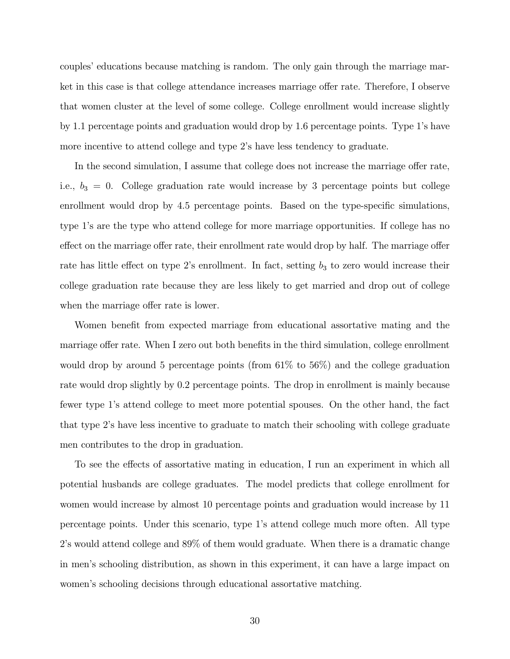couples' educations because matching is random. The only gain through the marriage market in this case is that college attendance increases marriage offer rate. Therefore, I observe that women cluster at the level of some college. College enrollment would increase slightly by 1.1 percentage points and graduation would drop by 1.6 percentage points. Type 1's have more incentive to attend college and type 2's have less tendency to graduate.

In the second simulation, I assume that college does not increase the marriage offer rate, i.e.,  $b_3 = 0$ . College graduation rate would increase by 3 percentage points but college enrollment would drop by 4.5 percentage points. Based on the type-specific simulations, type 1's are the type who attend college for more marriage opportunities. If college has no effect on the marriage offer rate, their enrollment rate would drop by half. The marriage offer rate has little effect on type 2's enrollment. In fact, setting  $b_3$  to zero would increase their college graduation rate because they are less likely to get married and drop out of college when the marriage offer rate is lower.

Women benefit from expected marriage from educational assortative mating and the marriage offer rate. When I zero out both benefits in the third simulation, college enrollment would drop by around 5 percentage points (from  $61\%$  to  $56\%$ ) and the college graduation rate would drop slightly by 0.2 percentage points. The drop in enrollment is mainly because fewer type 1's attend college to meet more potential spouses. On the other hand, the fact that type 2's have less incentive to graduate to match their schooling with college graduate men contributes to the drop in graduation.

To see the effects of assortative mating in education, I run an experiment in which all potential husbands are college graduates. The model predicts that college enrollment for women would increase by almost 10 percentage points and graduation would increase by 11 percentage points. Under this scenario, type 1's attend college much more often. All type 2's would attend college and 89% of them would graduate. When there is a dramatic change in men's schooling distribution, as shown in this experiment, it can have a large impact on women's schooling decisions through educational assortative matching.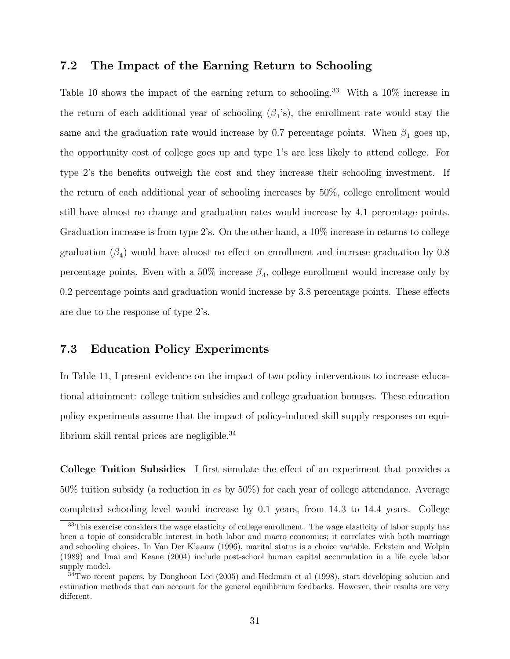### 7.2 The Impact of the Earning Return to Schooling

Table 10 shows the impact of the earning return to schooling.<sup>33</sup> With a 10% increase in the return of each additional year of schooling  $(\beta_1's)$ , the enrollment rate would stay the same and the graduation rate would increase by 0.7 percentage points. When  $\beta_1$  goes up, the opportunity cost of college goes up and type 1's are less likely to attend college. For type 2's the benefits outweigh the cost and they increase their schooling investment. If the return of each additional year of schooling increases by 50%, college enrollment would still have almost no change and graduation rates would increase by 4.1 percentage points. Graduation increase is from type 2's. On the other hand, a 10% increase in returns to college graduation  $(\beta_4)$  would have almost no effect on enrollment and increase graduation by 0.8 percentage points. Even with a 50% increase  $\beta_4$ , college enrollment would increase only by 0.2 percentage points and graduation would increase by 3.8 percentage points. These effects are due to the response of type 2's.

### 7.3 Education Policy Experiments

In Table 11, I present evidence on the impact of two policy interventions to increase educational attainment: college tuition subsidies and college graduation bonuses. These education policy experiments assume that the impact of policy-induced skill supply responses on equilibrium skill rental prices are negligible.<sup>34</sup>

College Tuition Subsidies I first simulate the effect of an experiment that provides a 50% tuition subsidy (a reduction in cs by 50%) for each year of college attendance. Average completed schooling level would increase by 0.1 years, from 14.3 to 14.4 years. College

<sup>&</sup>lt;sup>33</sup>This exercise considers the wage elasticity of college enrollment. The wage elasticity of labor supply has been a topic of considerable interest in both labor and macro economics; it correlates with both marriage and schooling choices. In Van Der Klaauw (1996), marital status is a choice variable. Eckstein and Wolpin (1989) and Imai and Keane (2004) include post-school human capital accumulation in a life cycle labor supply model.

 $34$ Two recent papers, by Donghoon Lee (2005) and Heckman et al (1998), start developing solution and estimation methods that can account for the general equilibrium feedbacks. However, their results are very different.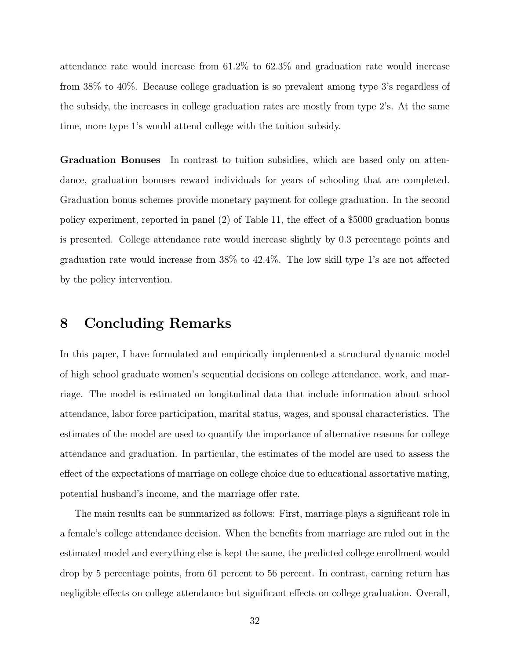attendance rate would increase from 61.2% to 62.3% and graduation rate would increase from 38% to 40%. Because college graduation is so prevalent among type 3's regardless of the subsidy, the increases in college graduation rates are mostly from type 2's. At the same time, more type 1's would attend college with the tuition subsidy.

Graduation Bonuses In contrast to tuition subsidies, which are based only on attendance, graduation bonuses reward individuals for years of schooling that are completed. Graduation bonus schemes provide monetary payment for college graduation. In the second policy experiment, reported in panel (2) of Table 11, the effect of a \$5000 graduation bonus is presented. College attendance rate would increase slightly by 0.3 percentage points and graduation rate would increase from 38% to 42.4%. The low skill type 1's are not affected by the policy intervention.

### 8 Concluding Remarks

In this paper, I have formulated and empirically implemented a structural dynamic model of high school graduate women's sequential decisions on college attendance, work, and marriage. The model is estimated on longitudinal data that include information about school attendance, labor force participation, marital status, wages, and spousal characteristics. The estimates of the model are used to quantify the importance of alternative reasons for college attendance and graduation. In particular, the estimates of the model are used to assess the effect of the expectations of marriage on college choice due to educational assortative mating, potential husband's income, and the marriage offer rate.

The main results can be summarized as follows: First, marriage plays a significant role in a female's college attendance decision. When the benefits from marriage are ruled out in the estimated model and everything else is kept the same, the predicted college enrollment would drop by 5 percentage points, from 61 percent to 56 percent. In contrast, earning return has negligible effects on college attendance but significant effects on college graduation. Overall,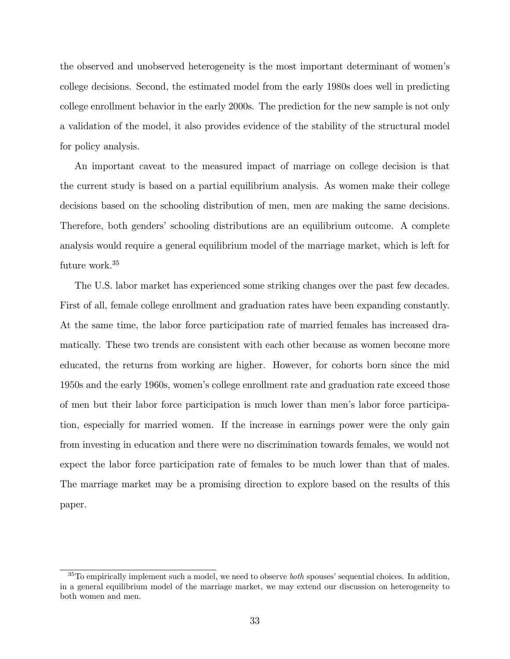the observed and unobserved heterogeneity is the most important determinant of women's college decisions. Second, the estimated model from the early 1980s does well in predicting college enrollment behavior in the early 2000s. The prediction for the new sample is not only a validation of the model, it also provides evidence of the stability of the structural model for policy analysis.

An important caveat to the measured impact of marriage on college decision is that the current study is based on a partial equilibrium analysis. As women make their college decisions based on the schooling distribution of men, men are making the same decisions. Therefore, both genders' schooling distributions are an equilibrium outcome. A complete analysis would require a general equilibrium model of the marriage market, which is left for future work.<sup>35</sup>

The U.S. labor market has experienced some striking changes over the past few decades. First of all, female college enrollment and graduation rates have been expanding constantly. At the same time, the labor force participation rate of married females has increased dramatically. These two trends are consistent with each other because as women become more educated, the returns from working are higher. However, for cohorts born since the mid 1950s and the early 1960s, women's college enrollment rate and graduation rate exceed those of men but their labor force participation is much lower than men's labor force participation, especially for married women. If the increase in earnings power were the only gain from investing in education and there were no discrimination towards females, we would not expect the labor force participation rate of females to be much lower than that of males. The marriage market may be a promising direction to explore based on the results of this paper.

 $35T<sub>0</sub>$  empirically implement such a model, we need to observe *both* spouses' sequential choices. In addition, in a general equilibrium model of the marriage market, we may extend our discussion on heterogeneity to both women and men.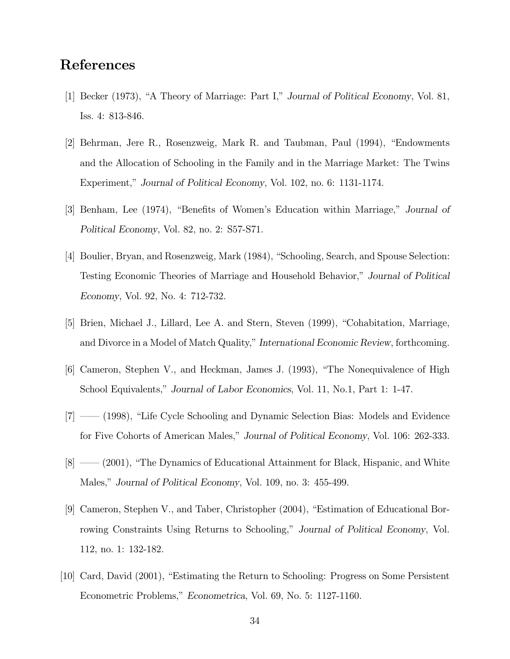### References

- [1] Becker (1973), "A Theory of Marriage: Part I," Journal of Political Economy, Vol. 81, Iss. 4: 813-846.
- [2] Behrman, Jere R., Rosenzweig, Mark R. and Taubman, Paul (1994), "Endowments and the Allocation of Schooling in the Family and in the Marriage Market: The Twins Experiment," Journal of Political Economy, Vol. 102, no. 6: 1131-1174.
- [3] Benham, Lee (1974), "Benefits of Women's Education within Marriage," Journal of Political Economy, Vol. 82, no. 2: S57-S71.
- [4] Boulier, Bryan, and Rosenzweig, Mark (1984), "Schooling, Search, and Spouse Selection: Testing Economic Theories of Marriage and Household Behavior," Journal of Political Economy, Vol. 92, No. 4: 712-732.
- [5] Brien, Michael J., Lillard, Lee A. and Stern, Steven (1999), "Cohabitation, Marriage, and Divorce in a Model of Match Quality," International Economic Review, forthcoming.
- [6] Cameron, Stephen V., and Heckman, James J. (1993), "The Nonequivalence of High School Equivalents," Journal of Labor Economics, Vol. 11, No.1, Part 1: 1-47.
- [7] –– (1998), "Life Cycle Schooling and Dynamic Selection Bias: Models and Evidence for Five Cohorts of American Males," Journal of Political Economy, Vol. 106: 262-333.
- [8] –– (2001), "The Dynamics of Educational Attainment for Black, Hispanic, and White Males," Journal of Political Economy, Vol. 109, no. 3: 455-499.
- [9] Cameron, Stephen V., and Taber, Christopher (2004), "Estimation of Educational Borrowing Constraints Using Returns to Schooling," Journal of Political Economy, Vol. 112, no. 1: 132-182.
- [10] Card, David (2001), "Estimating the Return to Schooling: Progress on Some Persistent Econometric Problems," Econometrica, Vol. 69, No. 5: 1127-1160.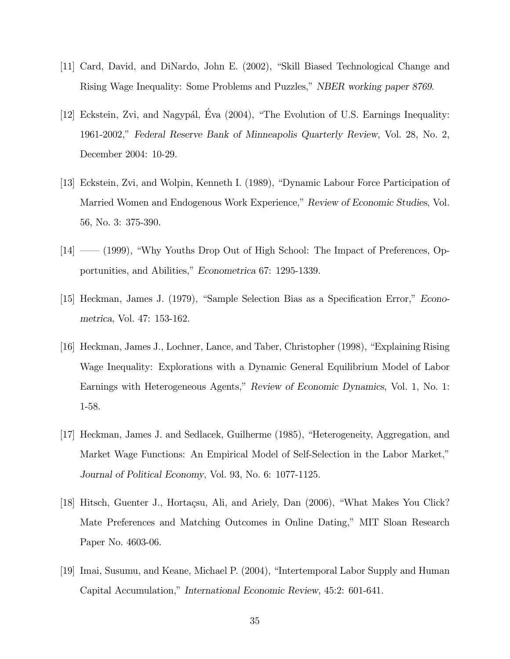- [11] Card, David, and DiNardo, John E. (2002), "Skill Biased Technological Change and Rising Wage Inequality: Some Problems and Puzzles," NBER working paper 8769.
- [12] Eckstein, Zvi, and Nagypál, Eva (2004), "The Evolution of U.S. Earnings Inequality: 1961-2002," Federal Reserve Bank of Minneapolis Quarterly Review, Vol. 28, No. 2, December 2004: 10-29.
- [13] Eckstein, Zvi, and Wolpin, Kenneth I. (1989), "Dynamic Labour Force Participation of Married Women and Endogenous Work Experience," Review of Economic Studies, Vol. 56, No. 3: 375-390.
- [14] —– (1999), "Why Youths Drop Out of High School: The Impact of Preferences, Opportunities, and Abilities," Econometrica 67: 1295-1339.
- [15] Heckman, James J. (1979), "Sample Selection Bias as a Specification Error," Econometrica, Vol. 47: 153-162.
- [16] Heckman, James J., Lochner, Lance, and Taber, Christopher (1998), "Explaining Rising Wage Inequality: Explorations with a Dynamic General Equilibrium Model of Labor Earnings with Heterogeneous Agents," Review of Economic Dynamics, Vol. 1, No. 1: 1-58.
- [17] Heckman, James J. and Sedlacek, Guilherme (1985), "Heterogeneity, Aggregation, and Market Wage Functions: An Empirical Model of Self-Selection in the Labor Market," Journal of Political Economy, Vol. 93, No. 6: 1077-1125.
- [18] Hitsch, Guenter J., Hortaçsu, Ali, and Ariely, Dan (2006), "What Makes You Click? Mate Preferences and Matching Outcomes in Online Dating," MIT Sloan Research Paper No. 4603-06.
- [19] Imai, Susumu, and Keane, Michael P. (2004), "Intertemporal Labor Supply and Human Capital Accumulation," International Economic Review, 45:2: 601-641.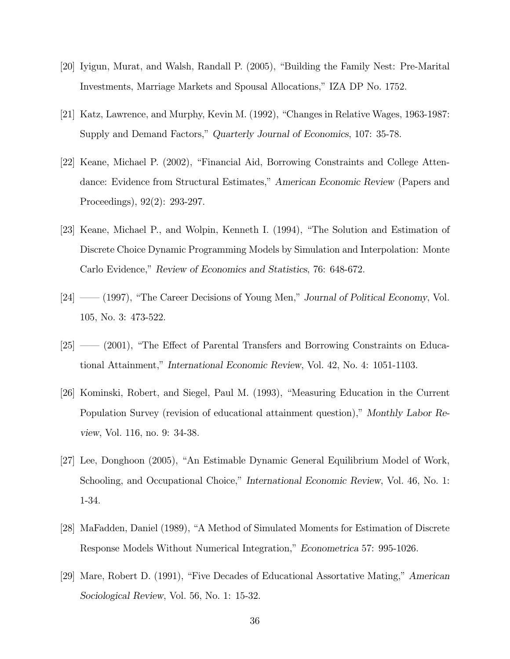- [20] Iyigun, Murat, and Walsh, Randall P. (2005), "Building the Family Nest: Pre-Marital Investments, Marriage Markets and Spousal Allocations," IZA DP No. 1752.
- [21] Katz, Lawrence, and Murphy, Kevin M. (1992), "Changes in Relative Wages, 1963-1987: Supply and Demand Factors," Quarterly Journal of Economics, 107: 35-78.
- [22] Keane, Michael P. (2002), "Financial Aid, Borrowing Constraints and College Attendance: Evidence from Structural Estimates," American Economic Review (Papers and Proceedings), 92(2): 293-297.
- [23] Keane, Michael P., and Wolpin, Kenneth I. (1994), "The Solution and Estimation of Discrete Choice Dynamic Programming Models by Simulation and Interpolation: Monte Carlo Evidence," Review of Economics and Statistics, 76: 648-672.
- [24] —– (1997), "The Career Decisions of Young Men," Journal of Political Economy, Vol. 105, No. 3: 473-522.
- [25] –– (2001), "The Effect of Parental Transfers and Borrowing Constraints on Educational Attainment," International Economic Review, Vol. 42, No. 4: 1051-1103.
- [26] Kominski, Robert, and Siegel, Paul M. (1993), "Measuring Education in the Current Population Survey (revision of educational attainment question)," Monthly Labor Review, Vol. 116, no. 9: 34-38.
- [27] Lee, Donghoon (2005), "An Estimable Dynamic General Equilibrium Model of Work, Schooling, and Occupational Choice," International Economic Review, Vol. 46, No. 1: 1-34.
- [28] MaFadden, Daniel (1989), "A Method of Simulated Moments for Estimation of Discrete Response Models Without Numerical Integration," Econometrica 57: 995-1026.
- [29] Mare, Robert D. (1991), "Five Decades of Educational Assortative Mating," American Sociological Review, Vol. 56, No. 1: 15-32.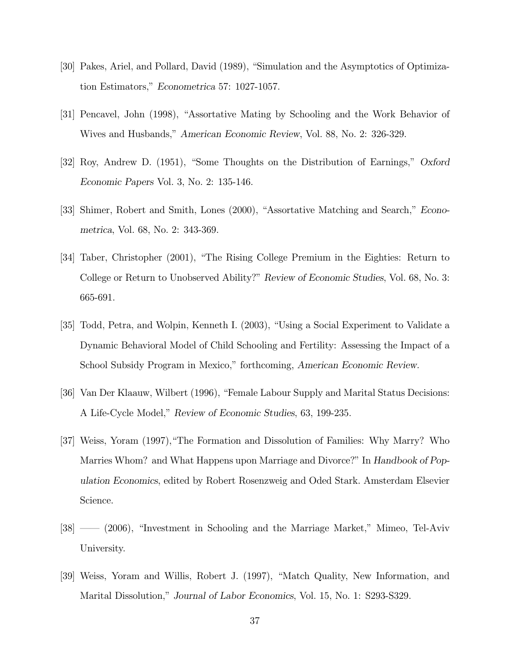- [30] Pakes, Ariel, and Pollard, David (1989), "Simulation and the Asymptotics of Optimization Estimators," Econometrica 57: 1027-1057.
- [31] Pencavel, John (1998), "Assortative Mating by Schooling and the Work Behavior of Wives and Husbands," American Economic Review, Vol. 88, No. 2: 326-329.
- [32] Roy, Andrew D. (1951), "Some Thoughts on the Distribution of Earnings," Oxford Economic Papers Vol. 3, No. 2: 135-146.
- [33] Shimer, Robert and Smith, Lones (2000), "Assortative Matching and Search," Econometrica, Vol. 68, No. 2: 343-369.
- [34] Taber, Christopher (2001), "The Rising College Premium in the Eighties: Return to College or Return to Unobserved Ability?" Review of Economic Studies, Vol. 68, No. 3: 665-691.
- [35] Todd, Petra, and Wolpin, Kenneth I. (2003), "Using a Social Experiment to Validate a Dynamic Behavioral Model of Child Schooling and Fertility: Assessing the Impact of a School Subsidy Program in Mexico," forthcoming, American Economic Review.
- [36] Van Der Klaauw, Wilbert (1996), "Female Labour Supply and Marital Status Decisions: A Life-Cycle Model," Review of Economic Studies, 63, 199-235.
- [37] Weiss, Yoram (1997),"The Formation and Dissolution of Families: Why Marry? Who Marries Whom? and What Happens upon Marriage and Divorce?" In Handbook of Population Economics, edited by Robert Rosenzweig and Oded Stark. Amsterdam Elsevier Science.
- [38] –– (2006), "Investment in Schooling and the Marriage Market," Mimeo, Tel-Aviv University.
- [39] Weiss, Yoram and Willis, Robert J. (1997), "Match Quality, New Information, and Marital Dissolution," Journal of Labor Economics, Vol. 15, No. 1: S293-S329.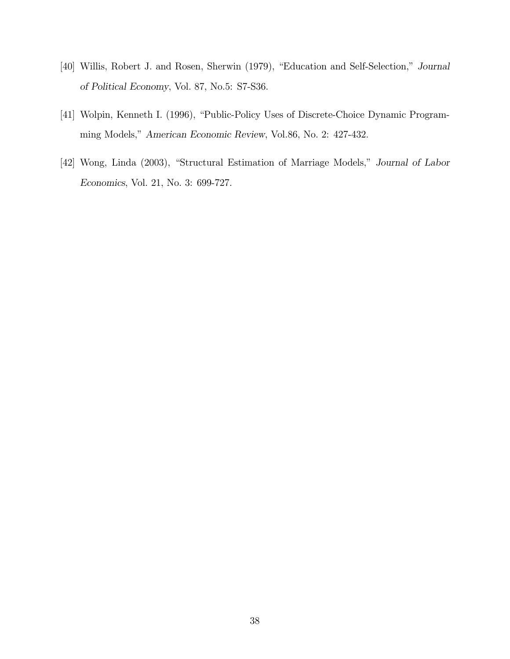- [40] Willis, Robert J. and Rosen, Sherwin (1979), "Education and Self-Selection," Journal of Political Economy, Vol. 87, No.5: S7-S36.
- [41] Wolpin, Kenneth I. (1996), "Public-Policy Uses of Discrete-Choice Dynamic Programming Models," American Economic Review, Vol.86, No. 2: 427-432.
- [42] Wong, Linda (2003), "Structural Estimation of Marriage Models," Journal of Labor Economics, Vol. 21, No. 3: 699-727.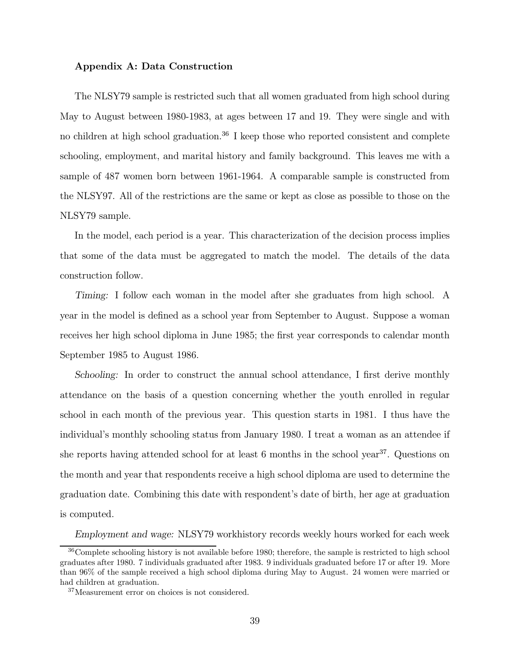#### Appendix A: Data Construction

The NLSY79 sample is restricted such that all women graduated from high school during May to August between 1980-1983, at ages between 17 and 19. They were single and with no children at high school graduation.<sup>36</sup> I keep those who reported consistent and complete schooling, employment, and marital history and family background. This leaves me with a sample of 487 women born between 1961-1964. A comparable sample is constructed from the NLSY97. All of the restrictions are the same or kept as close as possible to those on the NLSY79 sample.

In the model, each period is a year. This characterization of the decision process implies that some of the data must be aggregated to match the model. The details of the data construction follow.

Timing: I follow each woman in the model after she graduates from high school. A year in the model is defined as a school year from September to August. Suppose a woman receives her high school diploma in June 1985; the first year corresponds to calendar month September 1985 to August 1986.

Schooling: In order to construct the annual school attendance, I first derive monthly attendance on the basis of a question concerning whether the youth enrolled in regular school in each month of the previous year. This question starts in 1981. I thus have the individual's monthly schooling status from January 1980. I treat a woman as an attendee if she reports having attended school for at least 6 months in the school year<sup>37</sup>. Questions on the month and year that respondents receive a high school diploma are used to determine the graduation date. Combining this date with respondent's date of birth, her age at graduation is computed.

Employment and wage: NLSY79 workhistory records weekly hours worked for each week

<sup>36</sup>Complete schooling history is not available before 1980; therefore, the sample is restricted to high school graduates after 1980. 7 individuals graduated after 1983. 9 individuals graduated before 17 or after 19. More than 96% of the sample received a high school diploma during May to August. 24 women were married or had children at graduation.

<sup>37</sup>Measurement error on choices is not considered.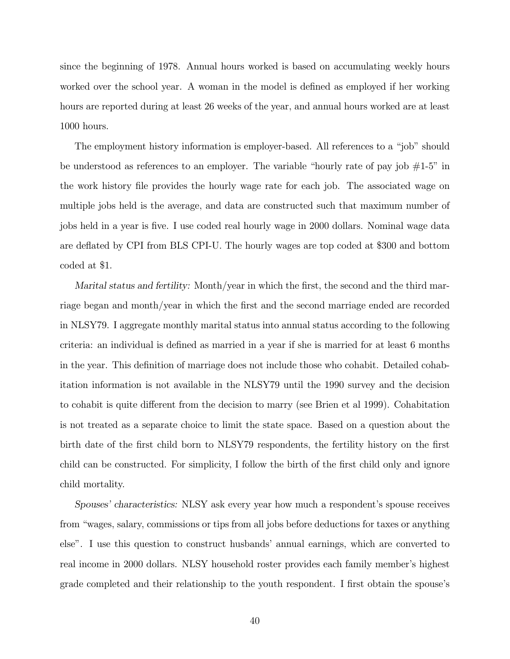since the beginning of 1978. Annual hours worked is based on accumulating weekly hours worked over the school year. A woman in the model is defined as employed if her working hours are reported during at least 26 weeks of the year, and annual hours worked are at least 1000 hours.

The employment history information is employer-based. All references to a "job" should be understood as references to an employer. The variable "hourly rate of pay job  $#1-5"$  in the work history file provides the hourly wage rate for each job. The associated wage on multiple jobs held is the average, and data are constructed such that maximum number of jobs held in a year is five. I use coded real hourly wage in 2000 dollars. Nominal wage data are deflated by CPI from BLS CPI-U. The hourly wages are top coded at \$300 and bottom coded at \$1.

Marital status and fertility: Month/year in which the first, the second and the third marriage began and month/year in which the first and the second marriage ended are recorded in NLSY79. I aggregate monthly marital status into annual status according to the following criteria: an individual is defined as married in a year if she is married for at least 6 months in the year. This definition of marriage does not include those who cohabit. Detailed cohabitation information is not available in the NLSY79 until the 1990 survey and the decision to cohabit is quite different from the decision to marry (see Brien et al 1999). Cohabitation is not treated as a separate choice to limit the state space. Based on a question about the birth date of the first child born to NLSY79 respondents, the fertility history on the first child can be constructed. For simplicity, I follow the birth of the first child only and ignore child mortality.

Spouses' characteristics: NLSY ask every year how much a respondent's spouse receives from "wages, salary, commissions or tips from all jobs before deductions for taxes or anything else". I use this question to construct husbands' annual earnings, which are converted to real income in 2000 dollars. NLSY household roster provides each family member's highest grade completed and their relationship to the youth respondent. I first obtain the spouse's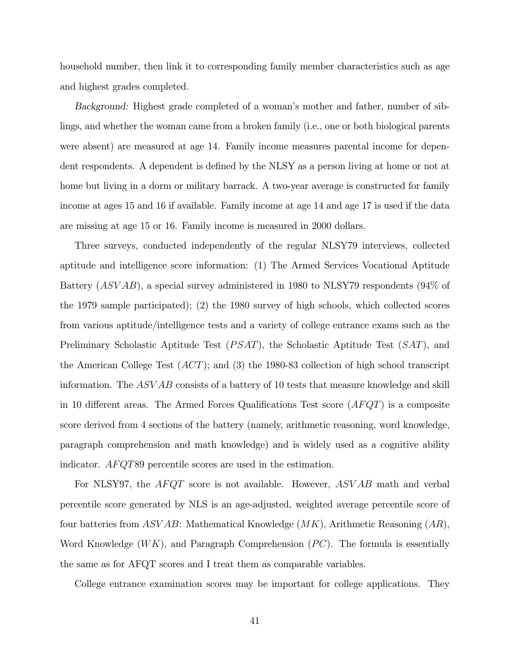household number, then link it to corresponding family member characteristics such as age and highest grades completed.

Background: Highest grade completed of a woman's mother and father, number of siblings, and whether the woman came from a broken family (i.e., one or both biological parents were absent) are measured at age 14. Family income measures parental income for dependent respondents. A dependent is defined by the NLSY as a person living at home or not at home but living in a dorm or military barrack. A two-year average is constructed for family income at ages 15 and 16 if available. Family income at age 14 and age 17 is used if the data are missing at age 15 or 16. Family income is measured in 2000 dollars.

Three surveys, conducted independently of the regular NLSY79 interviews, collected aptitude and intelligence score information: (1) The Armed Services Vocational Aptitude Battery (ASVAB), a special survey administered in 1980 to NLSY79 respondents (94% of the 1979 sample participated); (2) the 1980 survey of high schools, which collected scores from various aptitude/intelligence tests and a variety of college entrance exams such as the Preliminary Scholastic Aptitude Test  $(PSAT)$ , the Scholastic Aptitude Test  $(SAT)$ , and the American College Test  $(ACT)$ ; and  $(3)$  the 1980-83 collection of high school transcript information. The ASV AB consists of a battery of 10 tests that measure knowledge and skill in 10 different areas. The Armed Forces Qualifications Test score  $(AFQT)$  is a composite score derived from 4 sections of the battery (namely, arithmetic reasoning, word knowledge, paragraph comprehension and math knowledge) and is widely used as a cognitive ability indicator. AFQT89 percentile scores are used in the estimation.

For NLSY97, the  $AFQT$  score is not available. However,  $ASVAB$  math and verbal percentile score generated by NLS is an age-adjusted, weighted average percentile score of four batteries from  $ASVAB$ : Mathematical Knowledge  $(MK)$ , Arithmetic Reasoning  $(AR)$ , Word Knowledge  $(WK)$ , and Paragraph Comprehension  $(PC)$ . The formula is essentially the same as for AFQT scores and I treat them as comparable variables.

College entrance examination scores may be important for college applications. They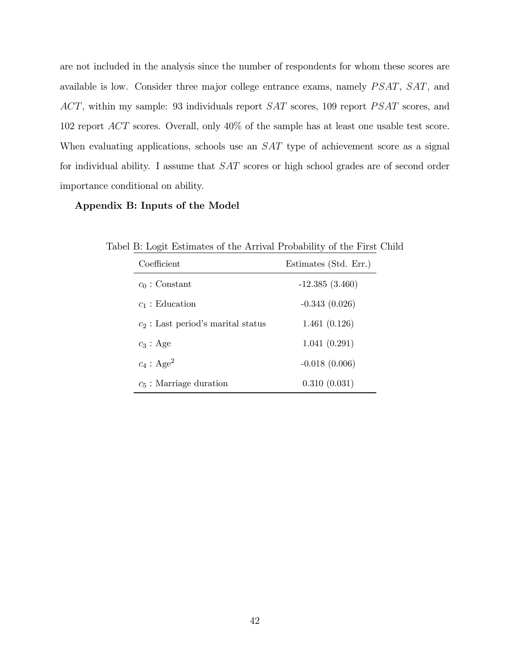are not included in the analysis since the number of respondents for whom these scores are available is low. Consider three major college entrance exams, namely  $PSAT$ ,  $SAT$ , and  $ACT$ , within my sample: 93 individuals report  $SAT$  scores, 109 report  $PSAT$  scores, and 102 report ACT scores. Overall, only 40% of the sample has at least one usable test score. When evaluating applications, schools use an SAT type of achievement score as a signal for individual ability. I assume that SAT scores or high school grades are of second order importance conditional on ability.

#### Appendix B: Inputs of the Model

| Coefficient                          | Estimates (Std. Err.) |
|--------------------------------------|-----------------------|
| $c_0$ : Constant                     | $-12.385(3.460)$      |
| $c_1$ : Education                    | $-0.343(0.026)$       |
| $c_2$ : Last period's marital status | 1.461(0.126)          |
| $c_3$ : Age                          | 1.041(0.291)          |
| $c_4$ : Age <sup>2</sup>             | $-0.018(0.006)$       |
| $c_5$ : Marriage duration            | 0.310(0.031)          |

Tabel B: Logit Estimates of the Arrival Probability of the First Child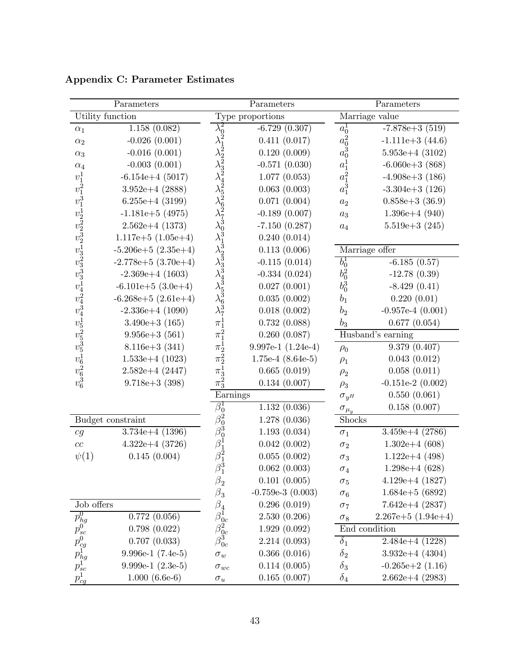|                                                                                                                                     | Parameters              |                                                                                            | Parameters             | Parameters         |                        |
|-------------------------------------------------------------------------------------------------------------------------------------|-------------------------|--------------------------------------------------------------------------------------------|------------------------|--------------------|------------------------|
|                                                                                                                                     | Utility function        |                                                                                            | Type proportions       |                    | Marriage value         |
| $\alpha_1$                                                                                                                          | 1.158(0.082)            | $\lambda_0^2$                                                                              | $-6.729(0.307)$        | $a_0^1$            | $-7.878e+3(519)$       |
| $\alpha_2$                                                                                                                          | $-0.026(0.001)$         |                                                                                            | 0.411(0.017)           | $a_0^2$            | $-1.111e+3$ (44.6)     |
| $\alpha_3$                                                                                                                          | $-0.016(0.001)$         |                                                                                            | 0.120(0.009)           | $a_0^3$            | $5.953e+4(3102)$       |
| $\alpha_4$                                                                                                                          | $-0.003(0.001)$         |                                                                                            | $-0.571(0.030)$        | $a_1^1$            | $-6.060e + 3(868)$     |
|                                                                                                                                     | $-6.154e+4$ (5017)      |                                                                                            | 1.077(0.053)           | $a_1^2$            | $-4.908e+3(186)$       |
|                                                                                                                                     | $3.952e+4$ (2888)       |                                                                                            | 0.063(0.003)           | $a_1^3$            | $-3.304e+3(126)$       |
|                                                                                                                                     | $6.255e+4$ (3199)       |                                                                                            | 0.071(0.004)           | $\boldsymbol{a}_2$ | $0.858e+3(36.9)$       |
|                                                                                                                                     | $-1.181e+5$ (4975)      |                                                                                            | $-0.189(0.007)$        | $a_3$              | $1.396e+4(940)$        |
|                                                                                                                                     | $2.562e+4$ (1373)       |                                                                                            | $-7.150(0.287)$        | $\boldsymbol{a}_4$ | $5.519e+3(245)$        |
|                                                                                                                                     | $1.117e+5$ $(1.05e+4)$  |                                                                                            | 0.240(0.014)           |                    |                        |
|                                                                                                                                     | $-5.206e+5$ $(2.35e+4)$ |                                                                                            | 0.113(0.006)           |                    | Marriage offer         |
|                                                                                                                                     | $-2.778e+5(3.70e+4)$    |                                                                                            | $-0.115(0.014)$        | $b_0^1$            | $-6.185(0.57)$         |
|                                                                                                                                     | $-2.369e+4$ (1603)      |                                                                                            | $-0.334(0.024)$        | $b_0^2$            | $-12.78(0.39)$         |
|                                                                                                                                     | $-6.101e+5(3.0e+4)$     |                                                                                            | 0.027(0.001)           | $b_0^3$            | $-8.429(0.41)$         |
|                                                                                                                                     | $-6.268e+5(2.61e+4)$    |                                                                                            | 0.035(0.002)           | $b_1$              | 0.220(0.01)            |
|                                                                                                                                     | $-2.336e+4$ (1090)      |                                                                                            | 0.018(0.002)           | b <sub>2</sub>     | $-0.957e-4$ $(0.001)$  |
|                                                                                                                                     | $3.490e+3(165)$         |                                                                                            | 0.732(0.088)           | $b_3$              | 0.677(0.054)           |
|                                                                                                                                     | $9.956e + 3(561)$       |                                                                                            | 0.260(0.087)           |                    | Husband's earning      |
| $v_1$ $v_2$ $v_3$ $v_4$ $v_5$ $v_6$ $v_7$ $v_8$ $v_7$ $v_8$ $v_9$ $v_1$ $v_1$ $v_2$ $v_3$ $v_4$ $v_5$ $v_6$ $v_6$ $v_6$ $v_6$ $v_6$ | $8.116e+3(341)$         | $\begin{array}{l} \pi _{2}^{1}\\ \pi _{2}^{2}\\ \pi _{3}^{1}\\ \pi _{3}^{2}\\ \end{array}$ | $9.997e-1$ $(1.24e-4)$ | $\rho_0$           | 9.379(0.407)           |
|                                                                                                                                     | $1.533e+4$ (1023)       |                                                                                            | $1.75e-4$ $(8.64e-5)$  | $\rho_1$           | 0.043(0.012)           |
|                                                                                                                                     | $2.582e+4(2447)$        |                                                                                            | 0.665(0.019)           | $\rho_2$           | 0.058(0.011)           |
|                                                                                                                                     | $9.718e+3(398)$         |                                                                                            | 0.134(0.007)           | $\rho_3$           | $-0.151e-2$ (0.002)    |
|                                                                                                                                     |                         | Earnings                                                                                   |                        | $\sigma_{y^H}$     | 0.550(0.061)           |
|                                                                                                                                     |                         | $\beta_0^1$                                                                                | 1.132(0.036)           | $\sigma_{\mu_y}$   | 0.158(0.007)           |
|                                                                                                                                     | Budget constraint       |                                                                                            | 1.278(0.036)           | Shocks             |                        |
| cg                                                                                                                                  | $3.734e+4$ (1396)       | $\begin{array}{c} \beta_0^2 \ \beta_0^3 \ \beta_1^1 \ \beta_2^2 \ \beta_1^3 \end{array}$   | 1.193(0.034)           | $\sigma_1$         | $3.459e+4$ (2786)      |
| cc                                                                                                                                  | $4.322e+4$ (3726)       |                                                                                            | 0.042(0.002)           | $\sigma_2$         | $1.302e+4(608)$        |
| $\psi(1)$                                                                                                                           | 0.145(0.004)            |                                                                                            | 0.055(0.002)           | $\sigma_3$         | $1.122e+4$ (498)       |
|                                                                                                                                     |                         |                                                                                            | 0.062(0.003)           | $\sigma_4$         | $1.298e+4(628)$        |
|                                                                                                                                     |                         | $\beta_2^{}$                                                                               | 0.101(0.005)           | $\sigma_5$         | $4.129e+4$ (1827)      |
|                                                                                                                                     |                         | $\beta_3$                                                                                  | $-0.759e-3$ $(0.003)$  | $\sigma_6$         | $1.684e+5(6892)$       |
| Job offers                                                                                                                          |                         | $\beta_4$                                                                                  | 0.296(0.019)           | $\sigma_7$         | $7.642e+4(2837)$       |
| $p_{hg}^0$                                                                                                                          | 0.772(0.056)            | $\beta_{0c}^1$                                                                             | 2.530(0.206)           | $\sigma_8$         | $2.267e+5$ $(1.94e+4)$ |
| $p_{sc}^0$                                                                                                                          | 0.798(0.022)            |                                                                                            | 1.929(0.092)           |                    | End condition          |
| $p_{cg}^0$                                                                                                                          | 0.707(0.033)            | $\frac{\beta_{0c}^2}{\beta_{0c}^3}$                                                        | 2.214(0.093)           | $\delta_1$         | $2.484e+4$ (1228)      |
| $p^1_{hg}$                                                                                                                          | $9.996e-1(7.4e-5)$      | $\sigma_w$                                                                                 | 0.366(0.016)           | $\delta_2$         | $3.932e+4$ (4304)      |
| $p_{sc}^1$                                                                                                                          | $9.999e-1(2.3e-5)$      | $\sigma_{wc}$                                                                              | 0.114(0.005)           | $\delta_3$         | $-0.265e+2(1.16)$      |
| $p_{cg}^1$                                                                                                                          | $1.000(6.6e-6)$         | $\sigma_u$                                                                                 | 0.165(0.007)           | $\delta_4$         | $2.662e+4(2983)$       |

Appendix C: Parameter Estimates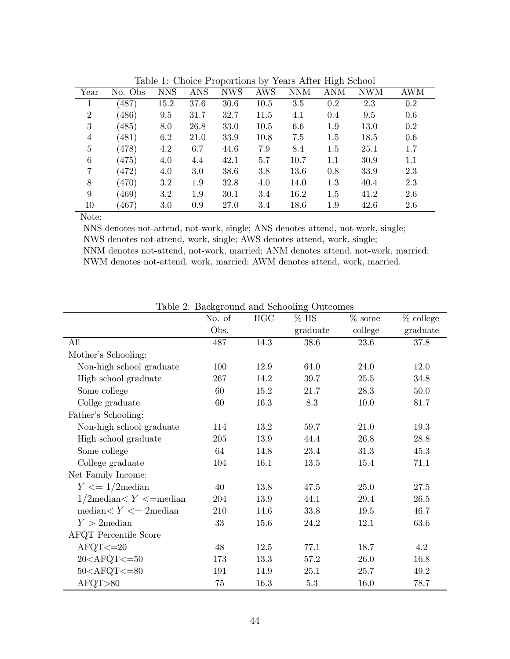|                |         |            |            | л.         | $\cdot$    |            | $\epsilon$ |            |     |  |
|----------------|---------|------------|------------|------------|------------|------------|------------|------------|-----|--|
| Year           | No. Obs | <b>NNS</b> | <b>ANS</b> | <b>NWS</b> | <b>AWS</b> | <b>NNM</b> | <b>ANM</b> | <b>NWM</b> | AWM |  |
|                | (487)   | 15.2       | 37.6       | 30.6       | 10.5       | 3.5        | 0.2        | 2.3        | 0.2 |  |
| $\overline{2}$ | (486)   | 9.5        | 31.7       | 32.7       | 11.5       | 4.1        | 0.4        | 9.5        | 0.6 |  |
| 3              | (485)   | 8.0        | 26.8       | 33.0       | 10.5       | 6.6        | 1.9        | 13.0       | 0.2 |  |
| $\overline{4}$ | (481)   | 6.2        | 21.0       | 33.9       | 10.8       | 7.5        | 1.5        | 18.5       | 0.6 |  |
| 5              | (478)   | 4.2        | 6.7        | 44.6       | 7.9        | 8.4        | 1.5        | 25.1       | 1.7 |  |
| 6              | (475)   | 4.0        | 4.4        | 42.1       | 5.7        | 10.7       | 1.1        | 30.9       | 1.1 |  |
| 7              | (472)   | 4.0        | 3.0        | 38.6       | 3.8        | 13.6       | 0.8        | 33.9       | 2.3 |  |
| 8              | (470)   | 3.2        | 1.9        | 32.8       | 4.0        | 14.0       | 1.3        | 40.4       | 2.3 |  |
| 9              | (469)   | 3.2        | 1.9        | 30.1       | 3.4        | 16.2       | 1.5        | 41.2       | 2.6 |  |
| 10             | (467)   | 3.0        | 0.9        | 27.0       | 3.4        | 18.6       | 1.9        | 42.6       | 2.6 |  |
| $ -$           |         |            |            |            |            |            |            |            |     |  |

Table 1: Choice Proportions by Years After High School

Note:

NNS denotes not-attend, not-work, single; ANS denotes attend, not-work, single; NWS denotes not-attend, work, single; AWS denotes attend, work, single; NNM denotes not-attend, not-work, married; ANM denotes attend, not-work, married; NWM denotes not-attend, work, married; AWM denotes attend, work, married.

|                                                                                                  | No. of | HGC  | $%$ HS   | $\%$ some | $%$ college |
|--------------------------------------------------------------------------------------------------|--------|------|----------|-----------|-------------|
|                                                                                                  | Obs.   |      | graduate | college   | graduate    |
| All                                                                                              | 487    | 14.3 | 38.6     | 23.6      | 37.8        |
| Mother's Schooling:                                                                              |        |      |          |           |             |
| Non-high school graduate                                                                         | 100    | 12.9 | 64.0     | 24.0      | 12.0        |
| High school graduate                                                                             | 267    | 14.2 | 39.7     | 25.5      | 34.8        |
| Some college                                                                                     | 60     | 15.2 | 21.7     | 28.3      | 50.0        |
| Collge graduate                                                                                  | 60     | 16.3 | 8.3      | 10.0      | 81.7        |
| Father's Schooling:                                                                              |        |      |          |           |             |
| Non-high school graduate                                                                         | 114    | 13.2 | 59.7     | 21.0      | 19.3        |
| High school graduate                                                                             | 205    | 13.9 | 44.4     | 26.8      | 28.8        |
| Some college                                                                                     | 64     | 14.8 | 23.4     | 31.3      | 45.3        |
| College graduate                                                                                 | 104    | 16.1 | 13.5     | 15.4      | 71.1        |
| Net Family Income:                                                                               |        |      |          |           |             |
| $Y \leq 1/2$ median                                                                              | 40     | 13.8 | 47.5     | 25.0      | 27.5        |
| $1/2$ median $Y \le$ =median                                                                     | 204    | 13.9 | 44.1     | 29.4      | 26.5        |
| median $Y \leq 2$ median                                                                         | 210    | 14.6 | 33.8     | 19.5      | 46.7        |
| $Y > 2$ median                                                                                   | 33     | 15.6 | 24.2     | 12.1      | 63.6        |
| <b>AFQT</b> Percentile Score                                                                     |        |      |          |           |             |
| $AFQT < = 20$                                                                                    | 48     | 12.5 | 77.1     | 18.7      | 4.2         |
| 20 <afqt<=50< td=""><td>173</td><td>13.3</td><td>57.2</td><td>26.0</td><td>16.8</td></afqt<=50<> | 173    | 13.3 | 57.2     | 26.0      | 16.8        |
| $50<$ AFQT $<=80$                                                                                | 191    | 14.9 | 25.1     | 25.7      | 49.2        |
| AFQT>80                                                                                          | 75     | 16.3 | $5.3\,$  | 16.0      | 78.7        |

Table 2: Background and Schooling Outcomes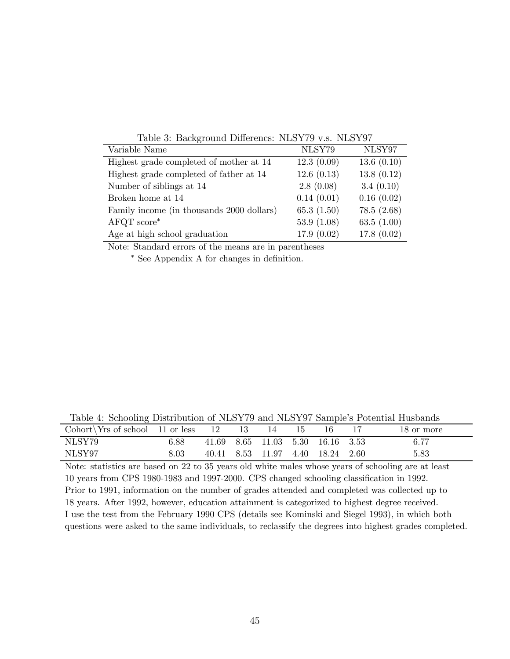| Variable Name                             | NLSY79        | NLSY97        |
|-------------------------------------------|---------------|---------------|
| Highest grade completed of mother at 14   | 12.3(0.09)    | 13.6(0.10)    |
| Highest grade completed of father at 14   | 12.6(0.13)    | 13.8(0.12)    |
| Number of siblings at 14                  | 2.8(0.08)     | 3.4(0.10)     |
| Broken home at 14                         | 0.14(0.01)    | 0.16(0.02)    |
| Family income (in thousands 2000 dollars) | 65.3(1.50)    | 78.5(2.68)    |
| $AFGT score^*$                            | 53.9 $(1.08)$ | 63.5 $(1.00)$ |
| Age at high school graduation             | 17.9(0.02)    | 17.8(0.02)    |

Table 3: Background Differencs: NLSY79 v.s. NLSY97

Note: Standard errors of the means are in parentheses

∗ See Appendix A for changes in definition.

Table 4: Schooling Distribution of NLSY79 and NLSY97 Sample's Potential Husbands

| Cohort $Yrs$ of school 11 or less |          |  |                                  |  | 18 or more |
|-----------------------------------|----------|--|----------------------------------|--|------------|
| NLSY79                            | 6.88     |  | 41.69 8.65 11.03 5.30 16.16 3.53 |  | 6.77       |
| NLSY97                            | $8.03\,$ |  | 40.41 8.53 11.97 4.40 18.24 2.60 |  | 5.83       |

Note: statistics are based on 22 to 35 years old white males whose years of schooling are at least 10 years from CPS 1980-1983 and 1997-2000. CPS changed schooling classification in 1992. Prior to 1991, information on the number of grades attended and completed was collected up to 18 years. After 1992, however, education attainment is categorized to highest degree received. I use the test from the February 1990 CPS (details see Kominski and Siegel 1993), in which both questions were asked to the same individuals, to reclassify the degrees into highest grades completed.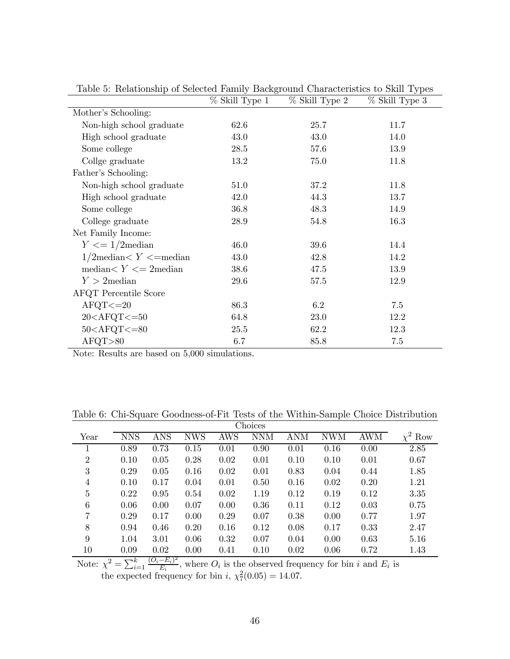|                              | % Skill Type 1 | % Skill Type 2 | % Skill Type 3 |
|------------------------------|----------------|----------------|----------------|
| Mother's Schooling:          |                |                |                |
| Non-high school graduate     | 62.6           | 25.7           | 11.7           |
| High school graduate         | 43.0           | 43.0           | 14.0           |
| Some college                 | 28.5           | 57.6           | 13.9           |
| Collge graduate              | 13.2           | 75.0           | 11.8           |
| Father's Schooling:          |                |                |                |
| Non-high school graduate     | 51.0           | 37.2           | 11.8           |
| High school graduate         | 42.0           | 44.3           | 13.7           |
| Some college                 | 36.8           | 48.3           | 14.9           |
| College graduate             | 28.9           | 54.8           | 16.3           |
| Net Family Income:           |                |                |                |
| $Y \leq 1/2$ median          | 46.0           | 39.6           | 14.4           |
| $1/2$ median $Y \le$ =median | 43.0           | 42.8           | 14.2           |
| median $Y \leq 2$ median     | 38.6           | 47.5           | 13.9           |
| $Y > 2$ median               | 29.6           | 57.5           | 12.9           |
| <b>AFQT</b> Percentile Score |                |                |                |
| $AFQT < = 20$                | 86.3           | 6.2            | 7.5            |
| $20<$ AFQT $<=50$            | 64.8           | 23.0           | 12.2           |
| $50<$ AFQT $<=80$            | 25.5           | 62.2           | 12.3           |
| AFQT>80                      | 6.7            | 85.8           | $7.5\,$        |

Table 5: Relationship of Selected Family Background Characteristics to Skill Types

Note: Results are based on 5,000 simulations.

Table 6: Chi-Square Goodness-of-Fit Tests of the Within-Sample Choice Distribution

|                |            |            |            |      | Choices    |            |            |      |              |
|----------------|------------|------------|------------|------|------------|------------|------------|------|--------------|
| Year           | <b>NNS</b> | <b>ANS</b> | <b>NWS</b> | AWS  | <b>NNM</b> | <b>ANM</b> | <b>NWM</b> | AWM  | $\chi^2$ Row |
|                | 0.89       | 0.73       | 0.15       | 0.01 | 0.90       | 0.01       | 0.16       | 0.00 | 2.85         |
| $\overline{2}$ | 0.10       | 0.05       | 0.28       | 0.02 | 0.01       | 0.10       | 0.10       | 0.01 | 0.67         |
| 3              | 0.29       | 0.05       | 0.16       | 0.02 | 0.01       | 0.83       | 0.04       | 0.44 | 1.85         |
| 4              | 0.10       | 0.17       | 0.04       | 0.01 | 0.50       | 0.16       | 0.02       | 0.20 | 1.21         |
| 5              | 0.22       | 0.95       | 0.54       | 0.02 | 1.19       | 0.12       | 0.19       | 0.12 | 3.35         |
| 6              | 0.06       | 0.00       | 0.07       | 0.00 | 0.36       | 0.11       | 0.12       | 0.03 | 0.75         |
| 7              | 0.29       | 0.17       | 0.00       | 0.29 | 0.07       | 0.38       | 0.00       | 0.77 | 1.97         |
| 8              | 0.94       | 0.46       | 0.20       | 0.16 | 0.12       | 0.08       | 0.17       | 0.33 | 2.47         |
| 9              | 1.04       | 3.01       | 0.06       | 0.32 | 0.07       | 0.04       | 0.00       | 0.63 | 5.16         |
| 10             | 0.09       | 0.02       | 0.00       | 0.41 | 0.10       | 0.02       | 0.06       | 0.72 | 1.43         |

Note:  $\chi^2 = \sum_{i=1}^k \frac{(O_i - E_i)^2}{E_i}$ , where  $O_i$  is the observed frequency for bin *i* and  $E_i$  is the expected frequency for bin i,  $\chi^2(0.05) = 14.07$ .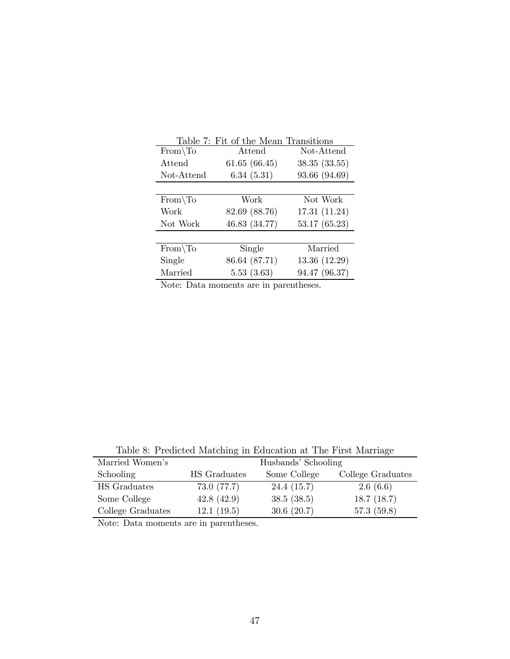|              | Table 7: Fit of the Mean Transitions |               |
|--------------|--------------------------------------|---------------|
| $From \, To$ | Attend                               | Not-Attend    |
| Attend       | 61.65(66.45)                         | 38.35(33.55)  |
| Not-Attend   | 6.34(5.31)                           | 93.66 (94.69) |
|              |                                      |               |
| $From \, To$ | Work                                 | Not Work      |
| Work         | 82.69 (88.76)                        | 17.31(11.24)  |
| Not Work     | 46.83 (34.77)                        | 53.17 (65.23) |
|              |                                      |               |
| $From \, To$ | Single                               | Married       |
| Single       | 86.64 (87.71)                        | 13.36 (12.29) |
| Married      | 5.53(3.63)                           | 94.47 (96.37) |

Note: Data moments are in parentheses.

Table 8: Predicted Matching in Education at The First Marriage

| Married Women's   |              | Husbands' Schooling |                   |
|-------------------|--------------|---------------------|-------------------|
| Schooling         | HS Graduates | Some College        | College Graduates |
| HS Graduates      | 73.0(77.7)   | 24.4(15.7)          | 2.6(6.6)          |
| Some College      | 42.8(42.9)   | 38.5(38.5)          | 18.7(18.7)        |
| College Graduates | 12.1(19.5)   | 30.6(20.7)          | 57.3(59.8)        |

Note: Data moments are in parentheses.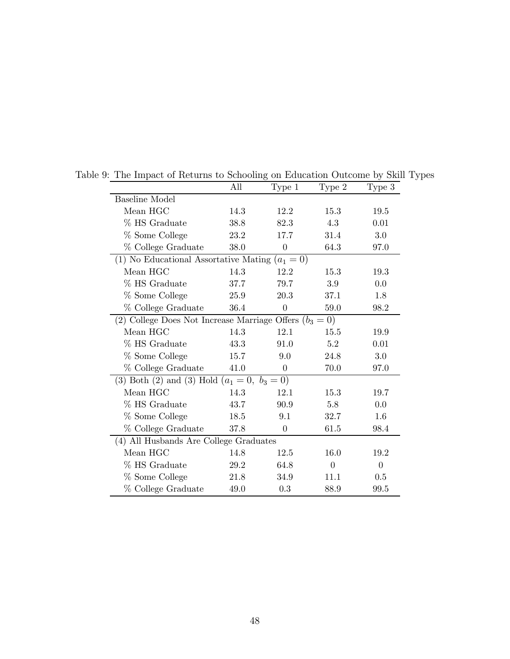|                                                           | All  | Type 1         | Type 2   | Type 3   |
|-----------------------------------------------------------|------|----------------|----------|----------|
| <b>Baseline Model</b>                                     |      |                |          |          |
| Mean HGC                                                  | 14.3 | 12.2           | 15.3     | 19.5     |
| % HS Graduate                                             | 38.8 | 82.3           | 4.3      | 0.01     |
| % Some College                                            | 23.2 | 17.7           | 31.4     | 3.0      |
| % College Graduate                                        | 38.0 | $\overline{0}$ | 64.3     | 97.0     |
| (1) No Educational Assortative Mating $(a_1 = 0)$         |      |                |          |          |
| Mean HGC                                                  | 14.3 | 12.2           | 15.3     | 19.3     |
| % HS Graduate                                             | 37.7 | 79.7           | 3.9      | 0.0      |
| % Some College                                            | 25.9 | 20.3           | 37.1     | 1.8      |
| % College Graduate                                        | 36.4 | $\overline{0}$ | 59.0     | 98.2     |
| (2) College Does Not Increase Marriage Offers $(b_3 = 0)$ |      |                |          |          |
| Mean HGC                                                  | 14.3 | 12.1           | 15.5     | 19.9     |
| % HS Graduate                                             | 43.3 | 91.0           | 5.2      | 0.01     |
| % Some College                                            | 15.7 | 9.0            | 24.8     | 3.0      |
| % College Graduate                                        | 41.0 | $\theta$       | 70.0     | 97.0     |
| (3) Both (2) and (3) Hold $(a_1 = 0, b_3 = 0)$            |      |                |          |          |
| Mean HGC                                                  | 14.3 | 12.1           | 15.3     | 19.7     |
| % HS Graduate                                             | 43.7 | 90.9           | 5.8      | 0.0      |
| % Some College                                            | 18.5 | 9.1            | 32.7     | 1.6      |
| % College Graduate                                        | 37.8 | $\Omega$       | 61.5     | 98.4     |
| (4) All Husbands Are College Graduates                    |      |                |          |          |
| Mean HGC                                                  | 14.8 | 12.5           | 16.0     | 19.2     |
| % HS Graduate                                             | 29.2 | 64.8           | $\theta$ | $\theta$ |
| % Some College                                            | 21.8 | 34.9           | 11.1     | 0.5      |
| % College Graduate                                        | 49.0 | 0.3            | 88.9     | 99.5     |

Table 9: The Impact of Returns to Schooling on Education Outcome by Skill Types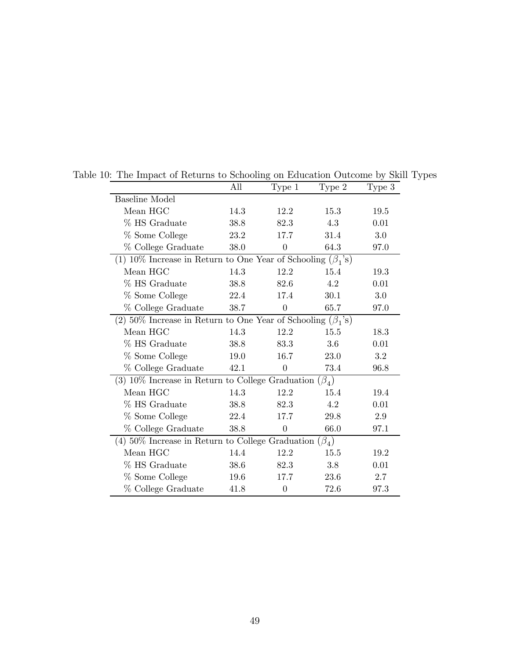|                                                                    | All  | Type 1           | Type 2      | Type 3 |  |  |  |
|--------------------------------------------------------------------|------|------------------|-------------|--------|--|--|--|
| <b>Baseline Model</b>                                              |      |                  |             |        |  |  |  |
| Mean HGC                                                           | 14.3 | 12.2             | 15.3        | 19.5   |  |  |  |
| % HS Graduate                                                      | 38.8 | 82.3             | 4.3         | 0.01   |  |  |  |
| % Some College                                                     | 23.2 | 17.7             | 31.4        | 3.0    |  |  |  |
| % College Graduate                                                 | 38.0 | $\overline{0}$   | 64.3        | 97.0   |  |  |  |
| (1) 10% Increase in Return to One Year of Schooling $(\beta_1$ 's) |      |                  |             |        |  |  |  |
| Mean HGC                                                           | 14.3 | 12.2             | 15.4        | 19.3   |  |  |  |
| % HS Graduate                                                      | 38.8 | 82.6             | 4.2         | 0.01   |  |  |  |
| % Some College                                                     | 22.4 | 17.4             | 30.1        | 3.0    |  |  |  |
| % College Graduate                                                 | 38.7 | $\overline{0}$   | 65.7        | 97.0   |  |  |  |
| (2) 50% Increase in Return to One Year of Schooling $(\beta_1$ 's) |      |                  |             |        |  |  |  |
| Mean HGC                                                           | 14.3 | 12.2             | 15.5        | 18.3   |  |  |  |
| % HS Graduate                                                      | 38.8 | 83.3             | 3.6         | 0.01   |  |  |  |
| % Some College                                                     | 19.0 | 16.7             | <b>23.0</b> | 3.2    |  |  |  |
| % College Graduate                                                 | 42.1 | $\boldsymbol{0}$ | 73.4        | 96.8   |  |  |  |
| (3) $10\%$ Increase in Return to College Graduation $(\beta_4)$    |      |                  |             |        |  |  |  |
| Mean HGC                                                           | 14.3 | 12.2             | 15.4        | 19.4   |  |  |  |
| % HS Graduate                                                      | 38.8 | 82.3             | 4.2         | 0.01   |  |  |  |
| % Some College                                                     | 22.4 | 17.7             | 29.8        | 2.9    |  |  |  |
| % College Graduate                                                 | 38.8 | $\overline{0}$   | 66.0        | 97.1   |  |  |  |
| (4) 50% Increase in Return to College Graduation $(\beta_4)$       |      |                  |             |        |  |  |  |
| Mean HGC                                                           | 14.4 | 12.2             | 15.5        | 19.2   |  |  |  |
| % HS Graduate                                                      | 38.6 | 82.3             | 3.8         | 0.01   |  |  |  |
| % Some College                                                     | 19.6 | 17.7             | 23.6        | 2.7    |  |  |  |
| % College Graduate                                                 | 41.8 | $\boldsymbol{0}$ | 72.6        | 97.3   |  |  |  |

Table 10: The Impact of Returns to Schooling on Education Outcome by Skill Types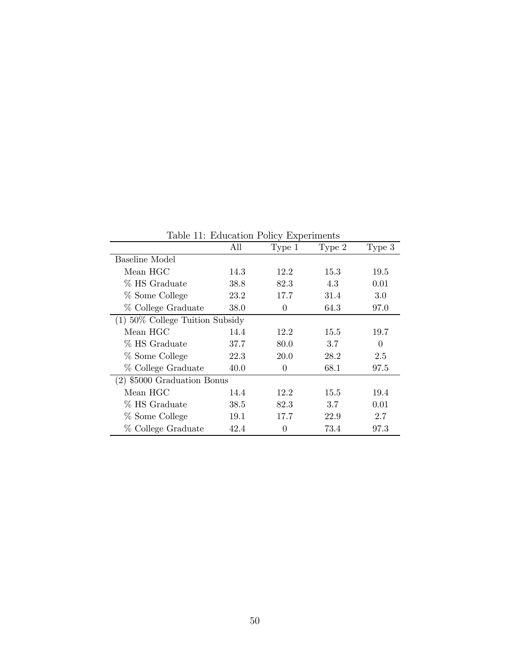| Lable 11. Education I only Experiments |      |             |        |        |
|----------------------------------------|------|-------------|--------|--------|
|                                        | All  | Type 1      | Type 2 | Type 3 |
| Baseline Model                         |      |             |        |        |
| Mean HGC                               | 14.3 | 12.2        | 15.3   | 19.5   |
| % HS Graduate                          | 38.8 | 82.3        | 4.3    | 0.01   |
| % Some College                         | 23.2 | 17.7        | 31.4   | 3.0    |
| % College Graduate                     | 38.0 | $\theta$    | 64.3   | 97.0   |
| $(1)$ 50% College Tuition Subsidy      |      |             |        |        |
| Mean HGC                               | 14.4 | 12.2        | 15.5   | 19.7   |
| % HS Graduate                          | 37.7 | 80.0        | 3.7    | 0      |
| % Some College                         | 22.3 | <b>20.0</b> | 28.2   | 2.5    |
| % College Graduate                     | 40.0 | $\theta$    | 68.1   | 97.5   |
| (2) \$5000 Graduation Bonus            |      |             |        |        |
| Mean HGC                               | 14.4 | 12.2        | 15.5   | 19.4   |
| % HS Graduate                          | 38.5 | 82.3        | 3.7    | 0.01   |
| % Some College                         | 19.1 | 17.7        | 22.9   | 2.7    |
| % College Graduate                     | 42.4 | $\theta$    | 73.4   | 97.3   |

Table 11: Education Policy Experiments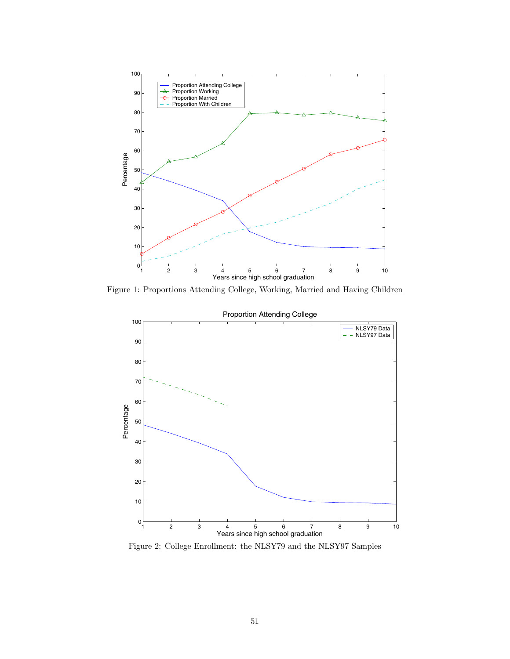

Figure 1: Proportions Attending College, Working, Married and Having Children



Figure 2: College Enrollment: the NLSY79 and the NLSY97 Samples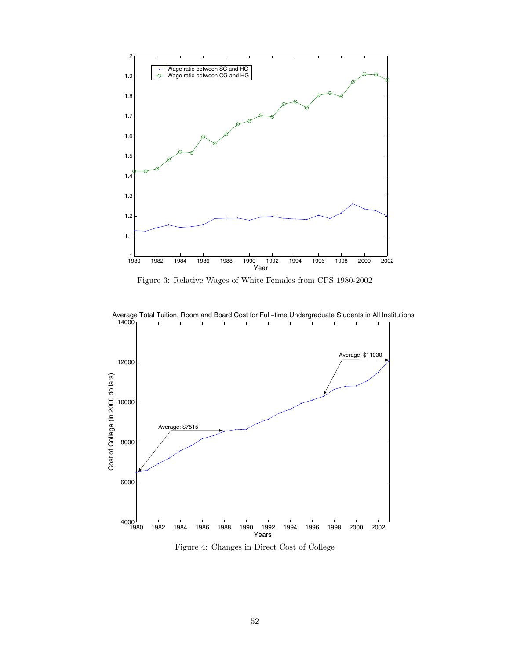

Figure 3: Relative Wages of White Females from CPS 1980-2002



Average Total Tuition, Room and Board Cost for Full−time Undergraduate Students in All Institutions

Figure 4: Changes in Direct Cost of College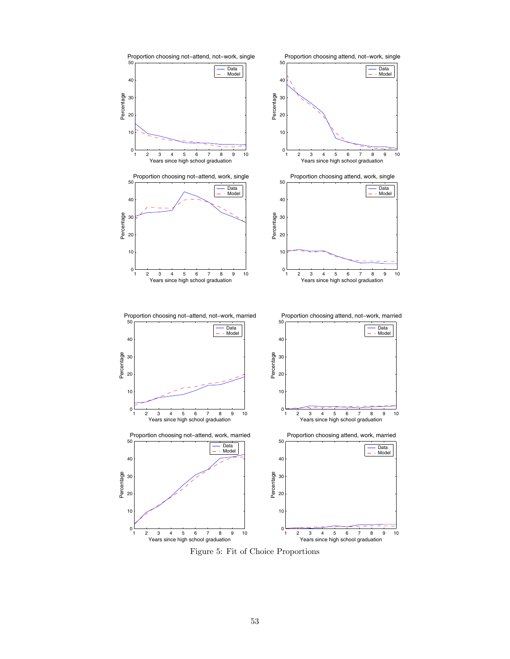

Figure 5: Fit of Choice Proportions